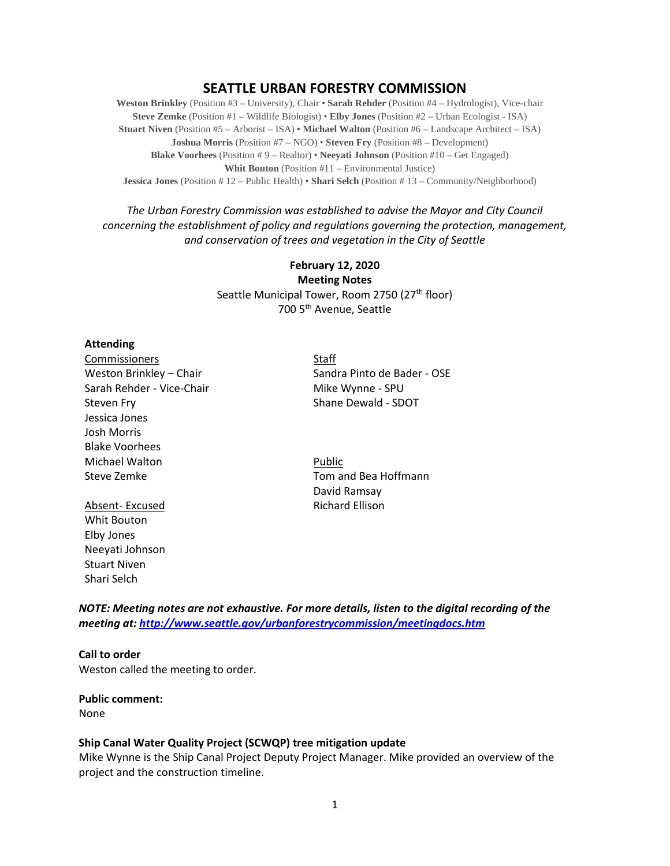# **SEATTLE URBAN FORESTRY COMMISSION**

**Weston Brinkley** (Position #3 – University), Chair • **Sarah Rehder** (Position #4 – Hydrologist), Vice-chair **Steve Zemke** (Position #1 – Wildlife Biologist) • **Elby Jones** (Position #2 – Urban Ecologist - ISA) **Stuart Niven** (Position #5 – Arborist – ISA) • **Michael Walton** (Position #6 – Landscape Architect – ISA) **Joshua Morris** (Position #7 – NGO) • **Steven Fry** (Position #8 – Development) **Blake Voorhees** (Position # 9 – Realtor) • **Neeyati Johnson** (Position #10 – Get Engaged) **Whit Bouton** (Position #11 – Environmental Justice) **Jessica Jones** (Position # 12 – Public Health) • **Shari Selch** (Position # 13 – Community/Neighborhood)

# *The Urban Forestry Commission was established to advise the Mayor and City Council concerning the establishment of policy and regulations governing the protection, management, and conservation of trees and vegetation in the City of Seattle*

# **February 12, 2020 Meeting Notes** Seattle Municipal Tower, Room 2750 (27<sup>th</sup> floor) 700 5th Avenue, Seattle

#### **Attending**

Commissioners and the Staff Staff Staff Staff Staff Staff Staff Staff Staff Staff Staff Staff Staff Staff Staff Staff Staff Staff Staff Staff Staff Staff Staff Staff Staff Staff Staff Staff Staff Staff Staff Staff Staff St Sarah Rehder - Vice-Chair Mike Wynne - SPU Steven Fry Shane Dewald - SDOT Jessica Jones Josh Morris Blake Voorhees Michael Walton **Public** Steve Zemke Tom and Bea Hoffmann

Absent- Excused **Richard Ellison** Whit Bouton Elby Jones Neeyati Johnson Stuart Niven Shari Selch

Weston Brinkley – Chair Sandra Pinto de Bader - OSE

David Ramsay

*NOTE: Meeting notes are not exhaustive. For more details, listen to the digital recording of the meeting at[: http://www.seattle.gov/urbanforestrycommission/meetingdocs.htm](http://www.seattle.gov/urbanforestrycommission/meetingdocs.htm)*

**Call to order**  Weston called the meeting to order.

#### **Public comment:**

None

# **Ship Canal Water Quality Project (SCWQP) tree mitigation update**

Mike Wynne is the Ship Canal Project Deputy Project Manager. Mike provided an overview of the project and the construction timeline.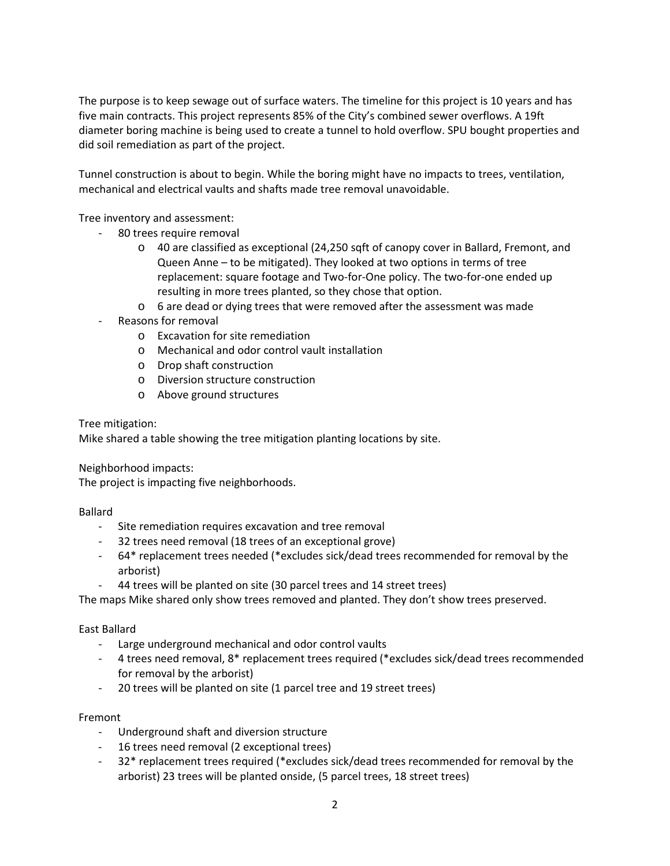The purpose is to keep sewage out of surface waters. The timeline for this project is 10 years and has five main contracts. This project represents 85% of the City's combined sewer overflows. A 19ft diameter boring machine is being used to create a tunnel to hold overflow. SPU bought properties and did soil remediation as part of the project.

Tunnel construction is about to begin. While the boring might have no impacts to trees, ventilation, mechanical and electrical vaults and shafts made tree removal unavoidable.

Tree inventory and assessment:

- 80 trees require removal
	- $\circ$  40 are classified as exceptional (24,250 sqft of canopy cover in Ballard, Fremont, and Queen Anne – to be mitigated). They looked at two options in terms of tree replacement: square footage and Two-for-One policy. The two-for-one ended up resulting in more trees planted, so they chose that option.
	- o 6 are dead or dying trees that were removed after the assessment was made
- Reasons for removal
	- o Excavation for site remediation
	- o Mechanical and odor control vault installation
	- o Drop shaft construction
	- o Diversion structure construction
	- o Above ground structures

# Tree mitigation:

Mike shared a table showing the tree mitigation planting locations by site.

Neighborhood impacts:

The project is impacting five neighborhoods.

Ballard

- Site remediation requires excavation and tree removal
- 32 trees need removal (18 trees of an exceptional grove)
- 64\* replacement trees needed (\*excludes sick/dead trees recommended for removal by the arborist)
- 44 trees will be planted on site (30 parcel trees and 14 street trees)

The maps Mike shared only show trees removed and planted. They don't show trees preserved.

# East Ballard

- Large underground mechanical and odor control vaults
- 4 trees need removal, 8\* replacement trees required (\*excludes sick/dead trees recommended for removal by the arborist)
- 20 trees will be planted on site (1 parcel tree and 19 street trees)

# Fremont

- Underground shaft and diversion structure
- 16 trees need removal (2 exceptional trees)
- 32\* replacement trees required (\*excludes sick/dead trees recommended for removal by the arborist) 23 trees will be planted onside, (5 parcel trees, 18 street trees)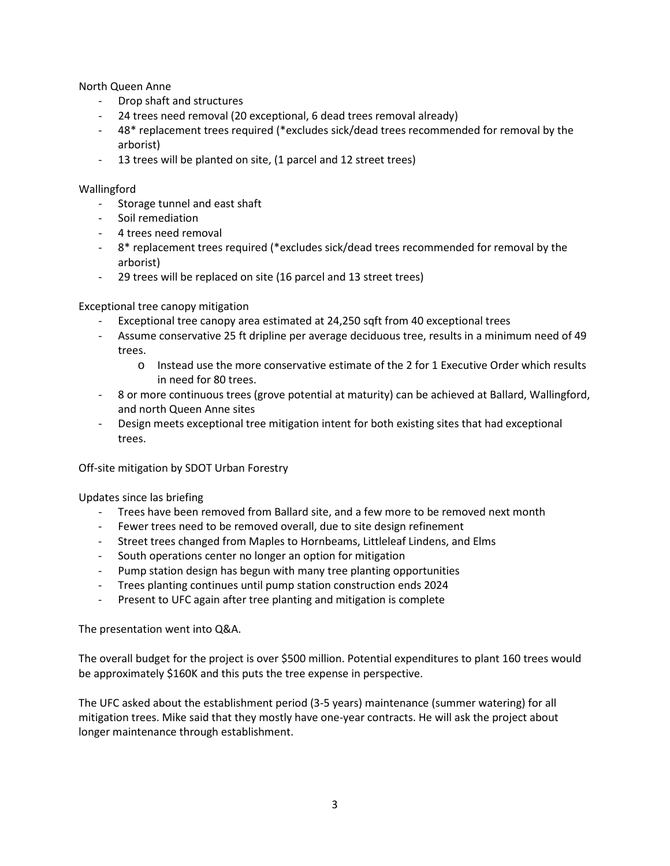North Queen Anne

- Drop shaft and structures
- 24 trees need removal (20 exceptional, 6 dead trees removal already)
- 48\* replacement trees required (\*excludes sick/dead trees recommended for removal by the arborist)
- 13 trees will be planted on site, (1 parcel and 12 street trees)

# Wallingford

- Storage tunnel and east shaft
- Soil remediation
- 4 trees need removal
- 8\* replacement trees required (\*excludes sick/dead trees recommended for removal by the arborist)
- 29 trees will be replaced on site (16 parcel and 13 street trees)

# Exceptional tree canopy mitigation

- Exceptional tree canopy area estimated at 24,250 sqft from 40 exceptional trees
- Assume conservative 25 ft dripline per average deciduous tree, results in a minimum need of 49 trees.
	- o Instead use the more conservative estimate of the 2 for 1 Executive Order which results in need for 80 trees.
- 8 or more continuous trees (grove potential at maturity) can be achieved at Ballard, Wallingford, and north Queen Anne sites
- Design meets exceptional tree mitigation intent for both existing sites that had exceptional trees.

Off-site mitigation by SDOT Urban Forestry

Updates since las briefing

- Trees have been removed from Ballard site, and a few more to be removed next month
- Fewer trees need to be removed overall, due to site design refinement
- Street trees changed from Maples to Hornbeams, Littleleaf Lindens, and Elms
- South operations center no longer an option for mitigation
- Pump station design has begun with many tree planting opportunities
- Trees planting continues until pump station construction ends 2024
- Present to UFC again after tree planting and mitigation is complete

The presentation went into Q&A.

The overall budget for the project is over \$500 million. Potential expenditures to plant 160 trees would be approximately \$160K and this puts the tree expense in perspective.

The UFC asked about the establishment period (3-5 years) maintenance (summer watering) for all mitigation trees. Mike said that they mostly have one-year contracts. He will ask the project about longer maintenance through establishment.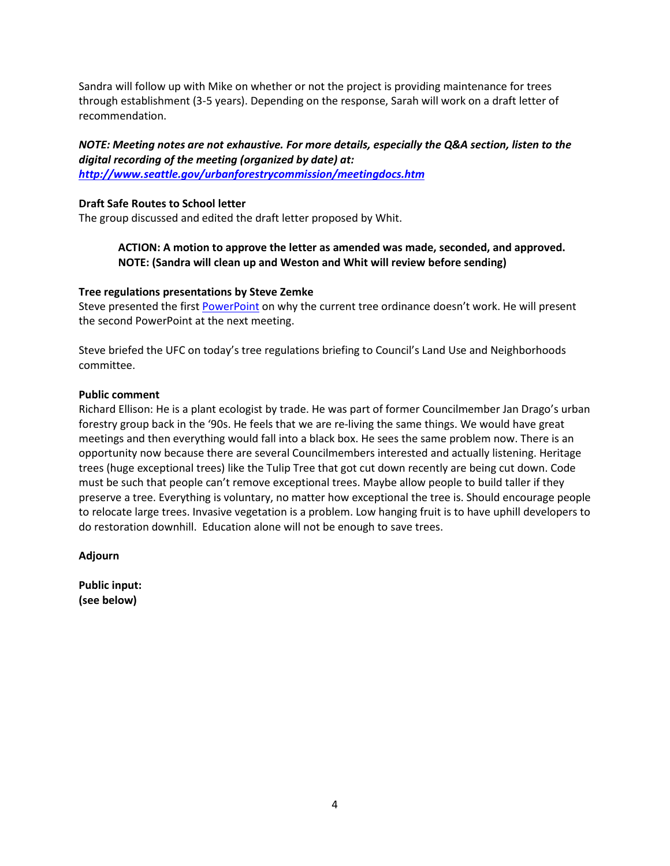Sandra will follow up with Mike on whether or not the project is providing maintenance for trees through establishment (3-5 years). Depending on the response, Sarah will work on a draft letter of recommendation.

# *NOTE: Meeting notes are not exhaustive. For more details, especially the Q&A section, listen to the digital recording of the meeting (organized by date) at:*

*<http://www.seattle.gov/urbanforestrycommission/meetingdocs.htm>*

# **Draft Safe Routes to School letter**

The group discussed and edited the draft letter proposed by Whit.

# **ACTION: A motion to approve the letter as amended was made, seconded, and approved. NOTE: (Sandra will clean up and Weston and Whit will review before sending)**

# **Tree regulations presentations by Steve Zemke**

Steve presented the first [PowerPoint](http://www.seattle.gov/Documents/Departments/UrbanForestryCommission/2020/2020docs/WhyCurrentTreeProtectionOrdinanceNotWorkingJan2020draft.pdf) on why the current tree ordinance doesn't work. He will present the second PowerPoint at the next meeting.

Steve briefed the UFC on today's tree regulations briefing to Council's Land Use and Neighborhoods committee.

# **Public comment**

Richard Ellison: He is a plant ecologist by trade. He was part of former Councilmember Jan Drago's urban forestry group back in the '90s. He feels that we are re-living the same things. We would have great meetings and then everything would fall into a black box. He sees the same problem now. There is an opportunity now because there are several Councilmembers interested and actually listening. Heritage trees (huge exceptional trees) like the Tulip Tree that got cut down recently are being cut down. Code must be such that people can't remove exceptional trees. Maybe allow people to build taller if they preserve a tree. Everything is voluntary, no matter how exceptional the tree is. Should encourage people to relocate large trees. Invasive vegetation is a problem. Low hanging fruit is to have uphill developers to do restoration downhill. Education alone will not be enough to save trees.

**Adjourn**

**Public input: (see below)**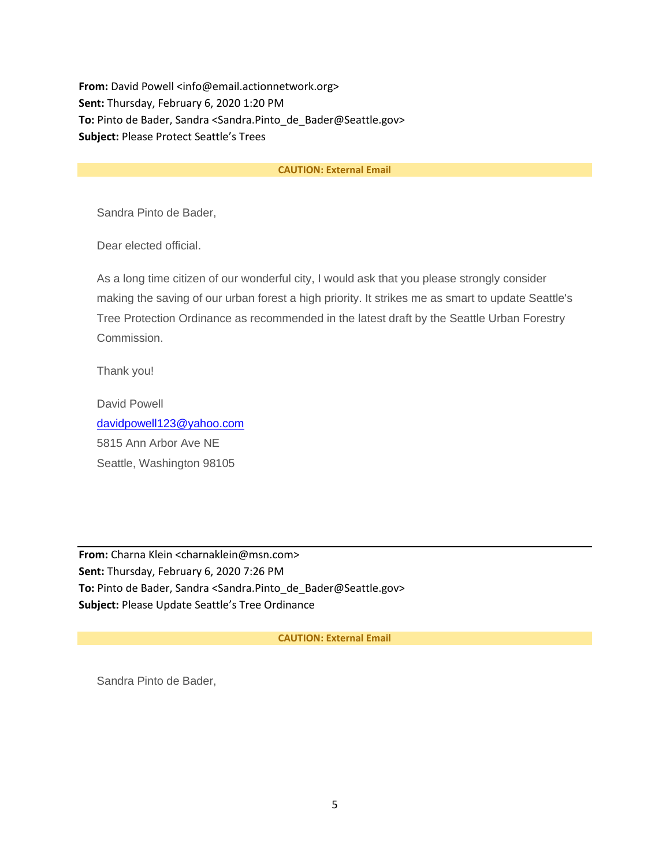**From:** David Powell <info@email.actionnetwork.org> **Sent:** Thursday, February 6, 2020 1:20 PM **To:** Pinto de Bader, Sandra <Sandra.Pinto\_de\_Bader@Seattle.gov> **Subject:** Please Protect Seattle's Trees

#### **CAUTION: External Email**

Sandra Pinto de Bader,

Dear elected official.

As a long time citizen of our wonderful city, I would ask that you please strongly consider making the saving of our urban forest a high priority. It strikes me as smart to update Seattle's Tree Protection Ordinance as recommended in the latest draft by the Seattle Urban Forestry Commission.

Thank you!

David Powell [davidpowell123@yahoo.com](mailto:davidpowell123@yahoo.com) 5815 Ann Arbor Ave NE Seattle, Washington 98105

**From:** Charna Klein <charnaklein@msn.com> **Sent:** Thursday, February 6, 2020 7:26 PM **To:** Pinto de Bader, Sandra <Sandra.Pinto\_de\_Bader@Seattle.gov> **Subject:** Please Update Seattle's Tree Ordinance

#### **CAUTION: External Email**

Sandra Pinto de Bader,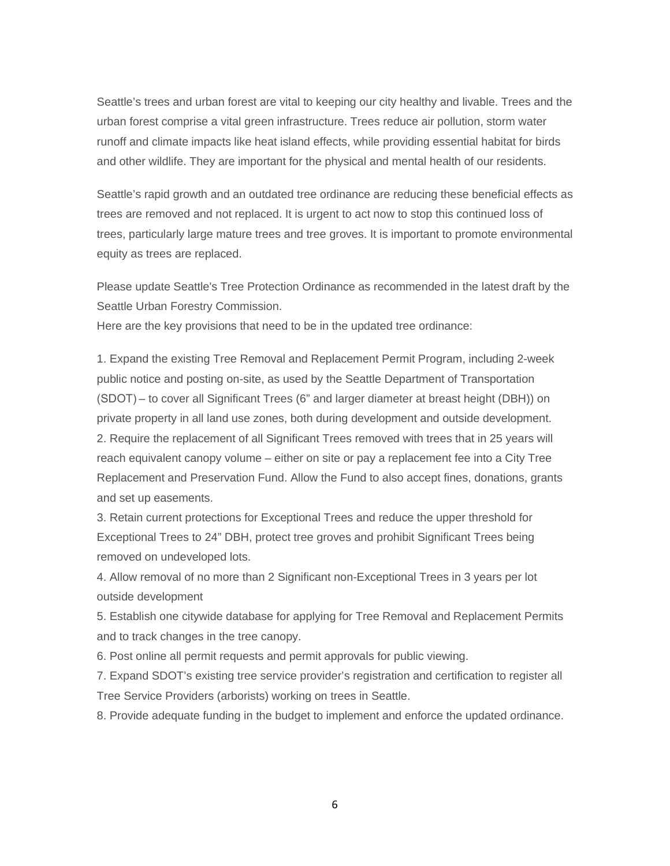Seattle's trees and urban forest are vital to keeping our city healthy and livable. Trees and the urban forest comprise a vital green infrastructure. Trees reduce air pollution, storm water runoff and climate impacts like heat island effects, while providing essential habitat for birds and other wildlife. They are important for the physical and mental health of our residents.

Seattle's rapid growth and an outdated tree ordinance are reducing these beneficial effects as trees are removed and not replaced. It is urgent to act now to stop this continued loss of trees, particularly large mature trees and tree groves. It is important to promote environmental equity as trees are replaced.

Please update Seattle's Tree Protection Ordinance as recommended in the latest draft by the Seattle Urban Forestry Commission.

Here are the key provisions that need to be in the updated tree ordinance:

1. Expand the existing Tree Removal and Replacement Permit Program, including 2-week public notice and posting on-site, as used by the Seattle Department of Transportation (SDOT) – to cover all Significant Trees (6" and larger diameter at breast height (DBH)) on private property in all land use zones, both during development and outside development. 2. Require the replacement of all Significant Trees removed with trees that in 25 years will reach equivalent canopy volume – either on site or pay a replacement fee into a City Tree Replacement and Preservation Fund. Allow the Fund to also accept fines, donations, grants and set up easements.

3. Retain current protections for Exceptional Trees and reduce the upper threshold for Exceptional Trees to 24" DBH, protect tree groves and prohibit Significant Trees being removed on undeveloped lots.

4. Allow removal of no more than 2 Significant non-Exceptional Trees in 3 years per lot outside development

5. Establish one citywide database for applying for Tree Removal and Replacement Permits and to track changes in the tree canopy.

6. Post online all permit requests and permit approvals for public viewing.

7. Expand SDOT's existing tree service provider's registration and certification to register all Tree Service Providers (arborists) working on trees in Seattle.

8. Provide adequate funding in the budget to implement and enforce the updated ordinance.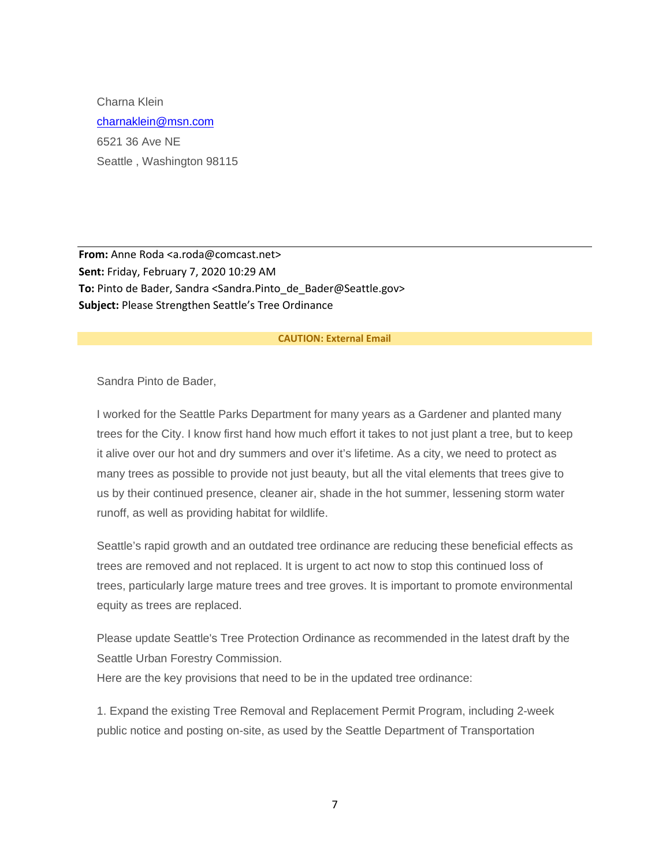Charna Klein [charnaklein@msn.com](mailto:charnaklein@msn.com) 6521 36 Ave NE Seattle , Washington 98115

**From:** Anne Roda <a.roda@comcast.net> **Sent:** Friday, February 7, 2020 10:29 AM **To:** Pinto de Bader, Sandra <Sandra.Pinto\_de\_Bader@Seattle.gov> **Subject:** Please Strengthen Seattle's Tree Ordinance

#### **CAUTION: External Email**

Sandra Pinto de Bader,

I worked for the Seattle Parks Department for many years as a Gardener and planted many trees for the City. I know first hand how much effort it takes to not just plant a tree, but to keep it alive over our hot and dry summers and over it's lifetime. As a city, we need to protect as many trees as possible to provide not just beauty, but all the vital elements that trees give to us by their continued presence, cleaner air, shade in the hot summer, lessening storm water runoff, as well as providing habitat for wildlife.

Seattle's rapid growth and an outdated tree ordinance are reducing these beneficial effects as trees are removed and not replaced. It is urgent to act now to stop this continued loss of trees, particularly large mature trees and tree groves. It is important to promote environmental equity as trees are replaced.

Please update Seattle's Tree Protection Ordinance as recommended in the latest draft by the Seattle Urban Forestry Commission.

Here are the key provisions that need to be in the updated tree ordinance:

1. Expand the existing Tree Removal and Replacement Permit Program, including 2-week public notice and posting on-site, as used by the Seattle Department of Transportation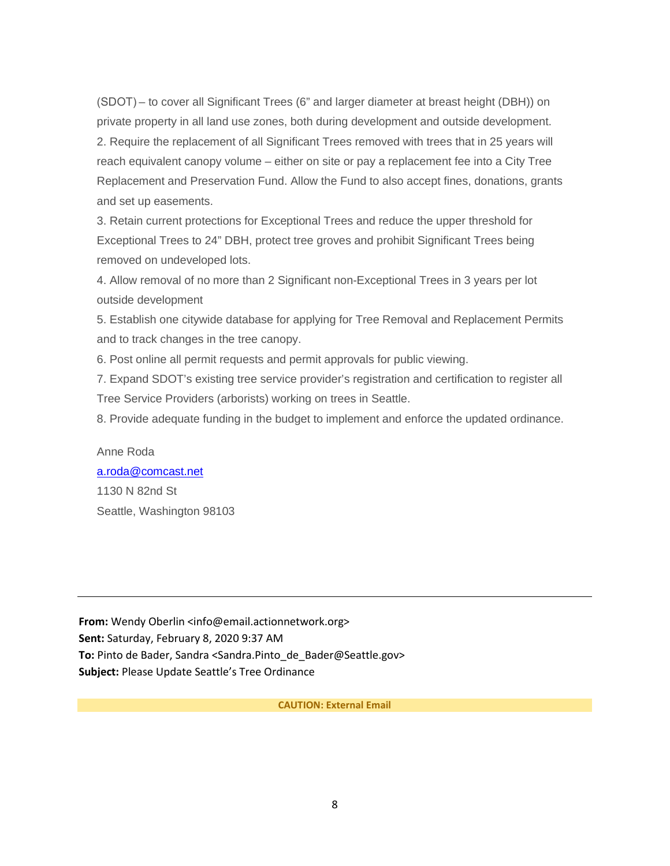(SDOT) – to cover all Significant Trees (6" and larger diameter at breast height (DBH)) on private property in all land use zones, both during development and outside development. 2. Require the replacement of all Significant Trees removed with trees that in 25 years will reach equivalent canopy volume – either on site or pay a replacement fee into a City Tree Replacement and Preservation Fund. Allow the Fund to also accept fines, donations, grants and set up easements.

3. Retain current protections for Exceptional Trees and reduce the upper threshold for Exceptional Trees to 24" DBH, protect tree groves and prohibit Significant Trees being removed on undeveloped lots.

4. Allow removal of no more than 2 Significant non-Exceptional Trees in 3 years per lot outside development

5. Establish one citywide database for applying for Tree Removal and Replacement Permits and to track changes in the tree canopy.

6. Post online all permit requests and permit approvals for public viewing.

7. Expand SDOT's existing tree service provider's registration and certification to register all Tree Service Providers (arborists) working on trees in Seattle.

8. Provide adequate funding in the budget to implement and enforce the updated ordinance.

# Anne Roda [a.roda@comcast.net](mailto:a.roda@comcast.net) 1130 N 82nd St Seattle, Washington 98103

**From:** Wendy Oberlin <info@email.actionnetwork.org> **Sent:** Saturday, February 8, 2020 9:37 AM **To:** Pinto de Bader, Sandra <Sandra.Pinto\_de\_Bader@Seattle.gov> **Subject:** Please Update Seattle's Tree Ordinance

#### **CAUTION: External Email**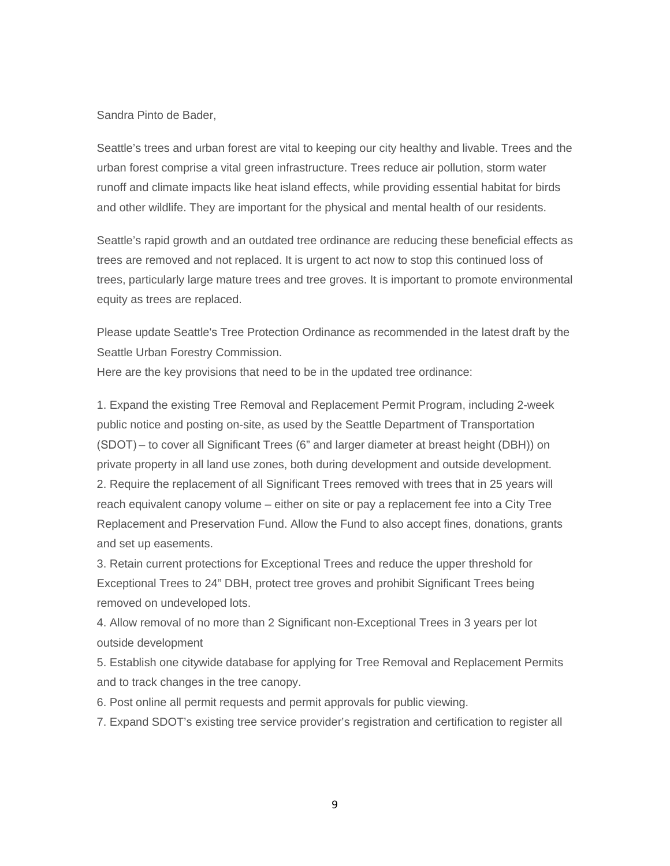#### Sandra Pinto de Bader,

Seattle's trees and urban forest are vital to keeping our city healthy and livable. Trees and the urban forest comprise a vital green infrastructure. Trees reduce air pollution, storm water runoff and climate impacts like heat island effects, while providing essential habitat for birds and other wildlife. They are important for the physical and mental health of our residents.

Seattle's rapid growth and an outdated tree ordinance are reducing these beneficial effects as trees are removed and not replaced. It is urgent to act now to stop this continued loss of trees, particularly large mature trees and tree groves. It is important to promote environmental equity as trees are replaced.

Please update Seattle's Tree Protection Ordinance as recommended in the latest draft by the Seattle Urban Forestry Commission.

Here are the key provisions that need to be in the updated tree ordinance:

1. Expand the existing Tree Removal and Replacement Permit Program, including 2-week public notice and posting on-site, as used by the Seattle Department of Transportation (SDOT) – to cover all Significant Trees (6" and larger diameter at breast height (DBH)) on private property in all land use zones, both during development and outside development. 2. Require the replacement of all Significant Trees removed with trees that in 25 years will reach equivalent canopy volume – either on site or pay a replacement fee into a City Tree Replacement and Preservation Fund. Allow the Fund to also accept fines, donations, grants and set up easements.

3. Retain current protections for Exceptional Trees and reduce the upper threshold for Exceptional Trees to 24" DBH, protect tree groves and prohibit Significant Trees being removed on undeveloped lots.

4. Allow removal of no more than 2 Significant non-Exceptional Trees in 3 years per lot outside development

5. Establish one citywide database for applying for Tree Removal and Replacement Permits and to track changes in the tree canopy.

6. Post online all permit requests and permit approvals for public viewing.

7. Expand SDOT's existing tree service provider's registration and certification to register all

9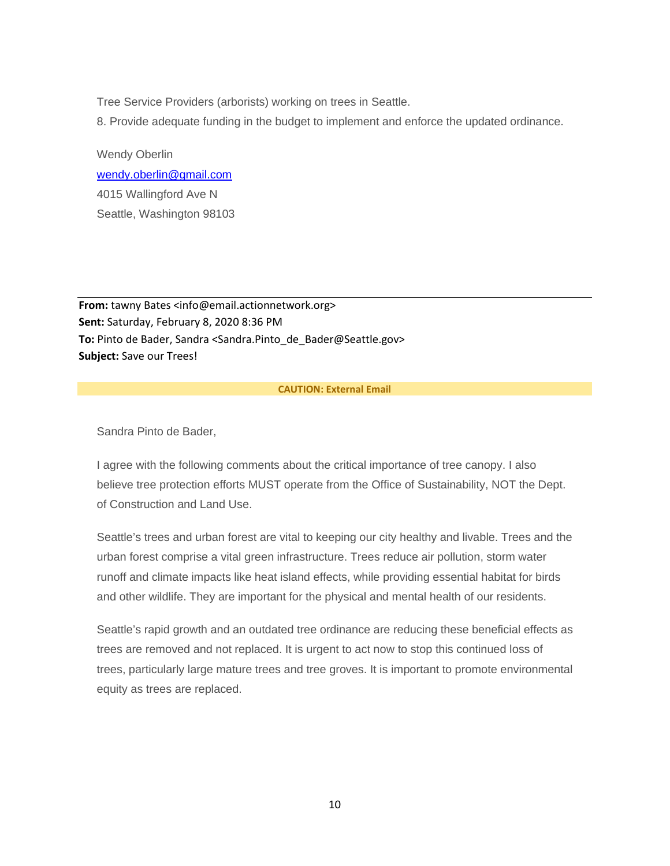Tree Service Providers (arborists) working on trees in Seattle.

8. Provide adequate funding in the budget to implement and enforce the updated ordinance.

Wendy Oberlin [wendy.oberlin@gmail.com](mailto:wendy.oberlin@gmail.com) 4015 Wallingford Ave N Seattle, Washington 98103

From: tawny Bates <info@email.actionnetwork.org> **Sent:** Saturday, February 8, 2020 8:36 PM **To:** Pinto de Bader, Sandra <Sandra.Pinto\_de\_Bader@Seattle.gov> **Subject:** Save our Trees!

#### **CAUTION: External Email**

Sandra Pinto de Bader,

I agree with the following comments about the critical importance of tree canopy. I also believe tree protection efforts MUST operate from the Office of Sustainability, NOT the Dept. of Construction and Land Use.

Seattle's trees and urban forest are vital to keeping our city healthy and livable. Trees and the urban forest comprise a vital green infrastructure. Trees reduce air pollution, storm water runoff and climate impacts like heat island effects, while providing essential habitat for birds and other wildlife. They are important for the physical and mental health of our residents.

Seattle's rapid growth and an outdated tree ordinance are reducing these beneficial effects as trees are removed and not replaced. It is urgent to act now to stop this continued loss of trees, particularly large mature trees and tree groves. It is important to promote environmental equity as trees are replaced.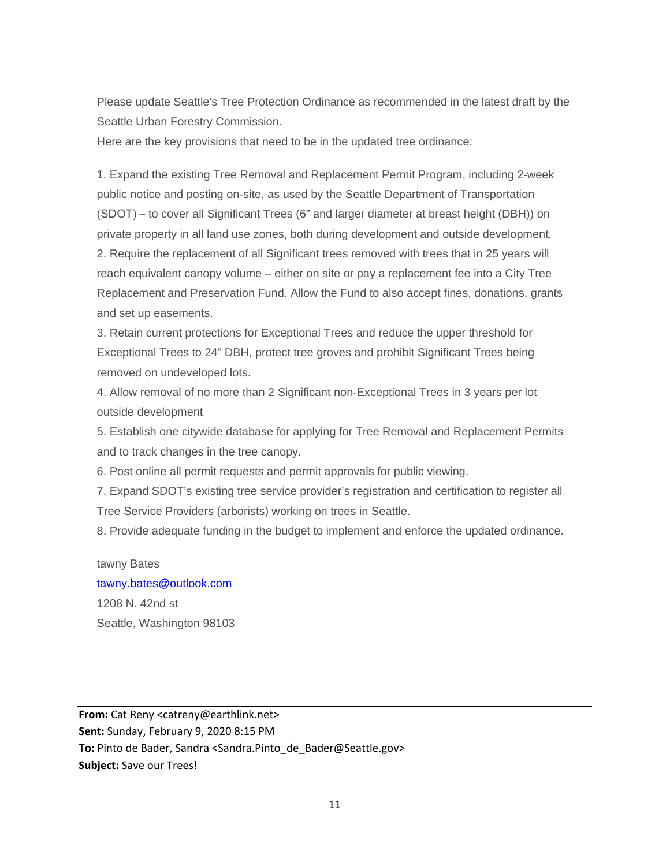Please update Seattle's Tree Protection Ordinance as recommended in the latest draft by the Seattle Urban Forestry Commission.

Here are the key provisions that need to be in the updated tree ordinance:

1. Expand the existing Tree Removal and Replacement Permit Program, including 2-week public notice and posting on-site, as used by the Seattle Department of Transportation (SDOT) – to cover all Significant Trees (6" and larger diameter at breast height (DBH)) on private property in all land use zones, both during development and outside development. 2. Require the replacement of all Significant trees removed with trees that in 25 years will reach equivalent canopy volume – either on site or pay a replacement fee into a City Tree Replacement and Preservation Fund. Allow the Fund to also accept fines, donations, grants and set up easements.

3. Retain current protections for Exceptional Trees and reduce the upper threshold for Exceptional Trees to 24" DBH, protect tree groves and prohibit Significant Trees being removed on undeveloped lots.

4. Allow removal of no more than 2 Significant non-Exceptional Trees in 3 years per lot outside development

5. Establish one citywide database for applying for Tree Removal and Replacement Permits and to track changes in the tree canopy.

6. Post online all permit requests and permit approvals for public viewing.

7. Expand SDOT's existing tree service provider's registration and certification to register all Tree Service Providers (arborists) working on trees in Seattle.

8. Provide adequate funding in the budget to implement and enforce the updated ordinance.

# tawny Bates

[tawny.bates@outlook.com](mailto:tawny.bates@outlook.com) 1208 N. 42nd st Seattle, Washington 98103

**From:** Cat Reny <catreny@earthlink.net> **Sent:** Sunday, February 9, 2020 8:15 PM **To:** Pinto de Bader, Sandra <Sandra.Pinto\_de\_Bader@Seattle.gov> **Subject:** Save our Trees!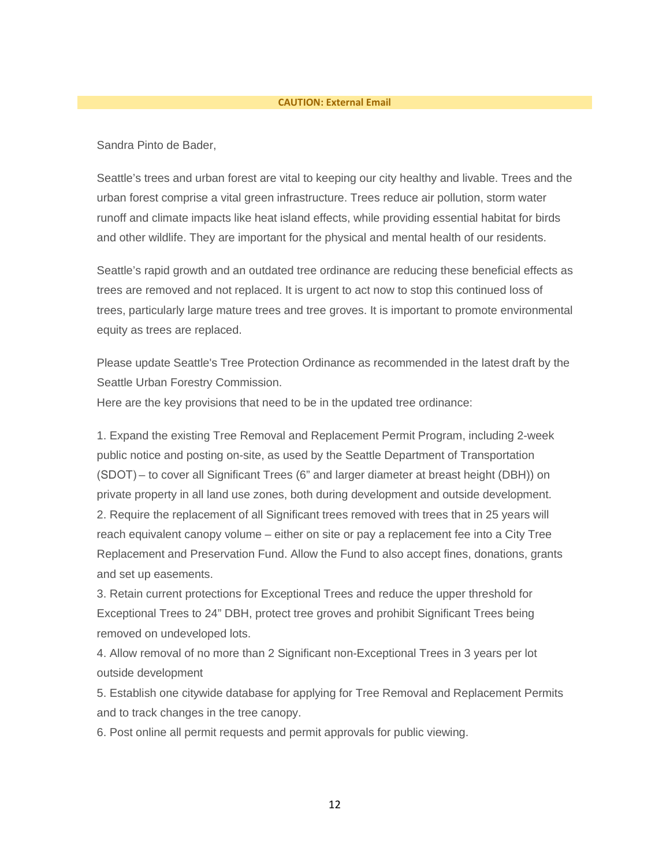#### **CAUTION: External Email**

Sandra Pinto de Bader,

Seattle's trees and urban forest are vital to keeping our city healthy and livable. Trees and the urban forest comprise a vital green infrastructure. Trees reduce air pollution, storm water runoff and climate impacts like heat island effects, while providing essential habitat for birds and other wildlife. They are important for the physical and mental health of our residents.

Seattle's rapid growth and an outdated tree ordinance are reducing these beneficial effects as trees are removed and not replaced. It is urgent to act now to stop this continued loss of trees, particularly large mature trees and tree groves. It is important to promote environmental equity as trees are replaced.

Please update Seattle's Tree Protection Ordinance as recommended in the latest draft by the Seattle Urban Forestry Commission.

Here are the key provisions that need to be in the updated tree ordinance:

1. Expand the existing Tree Removal and Replacement Permit Program, including 2-week public notice and posting on-site, as used by the Seattle Department of Transportation (SDOT) – to cover all Significant Trees (6" and larger diameter at breast height (DBH)) on private property in all land use zones, both during development and outside development. 2. Require the replacement of all Significant trees removed with trees that in 25 years will reach equivalent canopy volume – either on site or pay a replacement fee into a City Tree Replacement and Preservation Fund. Allow the Fund to also accept fines, donations, grants and set up easements.

3. Retain current protections for Exceptional Trees and reduce the upper threshold for Exceptional Trees to 24" DBH, protect tree groves and prohibit Significant Trees being removed on undeveloped lots.

4. Allow removal of no more than 2 Significant non-Exceptional Trees in 3 years per lot outside development

5. Establish one citywide database for applying for Tree Removal and Replacement Permits and to track changes in the tree canopy.

6. Post online all permit requests and permit approvals for public viewing.

12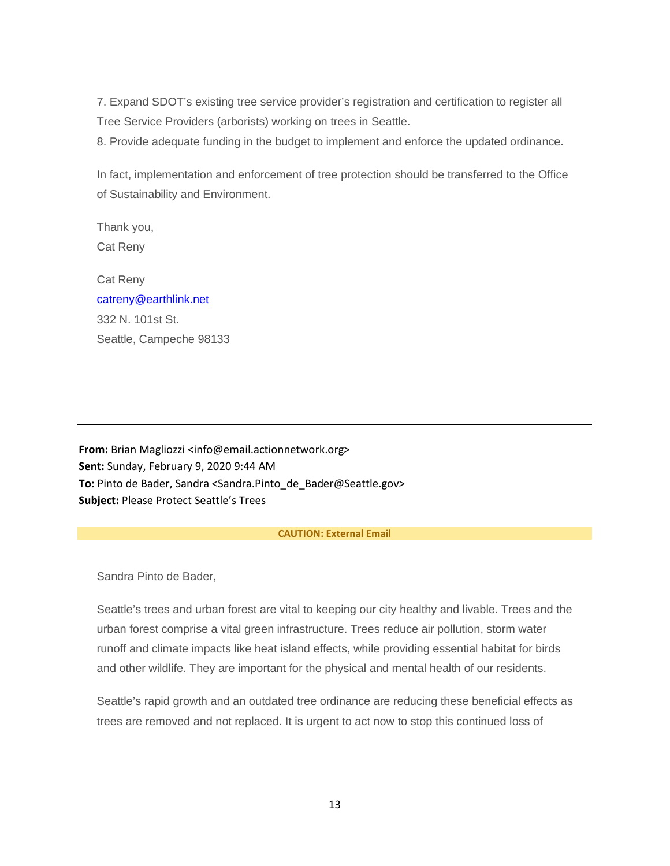7. Expand SDOT's existing tree service provider's registration and certification to register all Tree Service Providers (arborists) working on trees in Seattle.

8. Provide adequate funding in the budget to implement and enforce the updated ordinance.

In fact, implementation and enforcement of tree protection should be transferred to the Office of Sustainability and Environment.

Thank you, Cat Reny

Cat Reny [catreny@earthlink.net](mailto:catreny@earthlink.net) 332 N. 101st St. Seattle, Campeche 98133

**From:** Brian Magliozzi <info@email.actionnetwork.org> **Sent:** Sunday, February 9, 2020 9:44 AM **To:** Pinto de Bader, Sandra <Sandra.Pinto\_de\_Bader@Seattle.gov> **Subject:** Please Protect Seattle's Trees

#### **CAUTION: External Email**

Sandra Pinto de Bader,

Seattle's trees and urban forest are vital to keeping our city healthy and livable. Trees and the urban forest comprise a vital green infrastructure. Trees reduce air pollution, storm water runoff and climate impacts like heat island effects, while providing essential habitat for birds and other wildlife. They are important for the physical and mental health of our residents.

Seattle's rapid growth and an outdated tree ordinance are reducing these beneficial effects as trees are removed and not replaced. It is urgent to act now to stop this continued loss of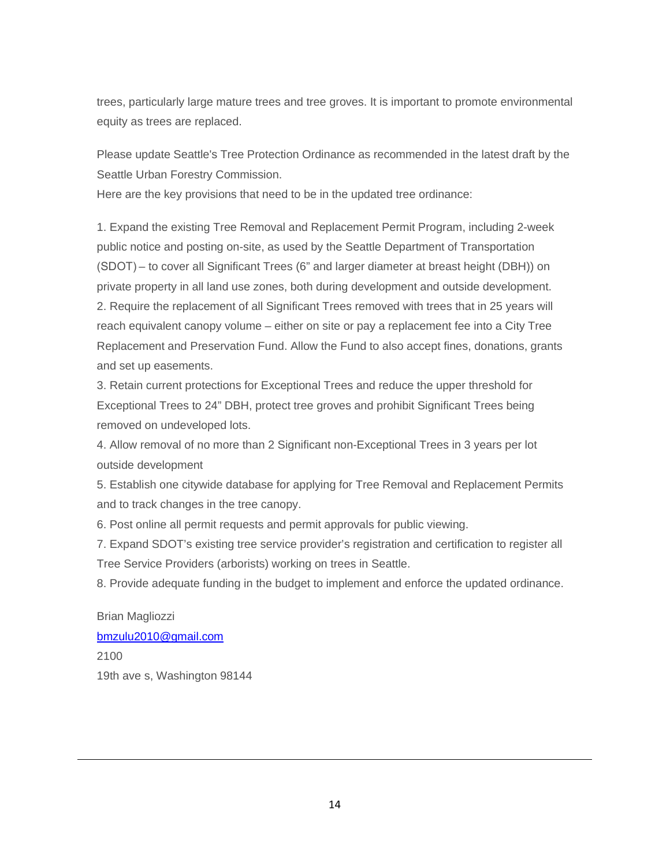trees, particularly large mature trees and tree groves. It is important to promote environmental equity as trees are replaced.

Please update Seattle's Tree Protection Ordinance as recommended in the latest draft by the Seattle Urban Forestry Commission.

Here are the key provisions that need to be in the updated tree ordinance:

1. Expand the existing Tree Removal and Replacement Permit Program, including 2-week public notice and posting on-site, as used by the Seattle Department of Transportation (SDOT) – to cover all Significant Trees (6" and larger diameter at breast height (DBH)) on private property in all land use zones, both during development and outside development. 2. Require the replacement of all Significant Trees removed with trees that in 25 years will reach equivalent canopy volume – either on site or pay a replacement fee into a City Tree Replacement and Preservation Fund. Allow the Fund to also accept fines, donations, grants and set up easements.

3. Retain current protections for Exceptional Trees and reduce the upper threshold for Exceptional Trees to 24" DBH, protect tree groves and prohibit Significant Trees being removed on undeveloped lots.

4. Allow removal of no more than 2 Significant non-Exceptional Trees in 3 years per lot outside development

5. Establish one citywide database for applying for Tree Removal and Replacement Permits and to track changes in the tree canopy.

6. Post online all permit requests and permit approvals for public viewing.

7. Expand SDOT's existing tree service provider's registration and certification to register all Tree Service Providers (arborists) working on trees in Seattle.

8. Provide adequate funding in the budget to implement and enforce the updated ordinance.

Brian Magliozzi [bmzulu2010@gmail.com](mailto:bmzulu2010@gmail.com) 2100 19th ave s, Washington 98144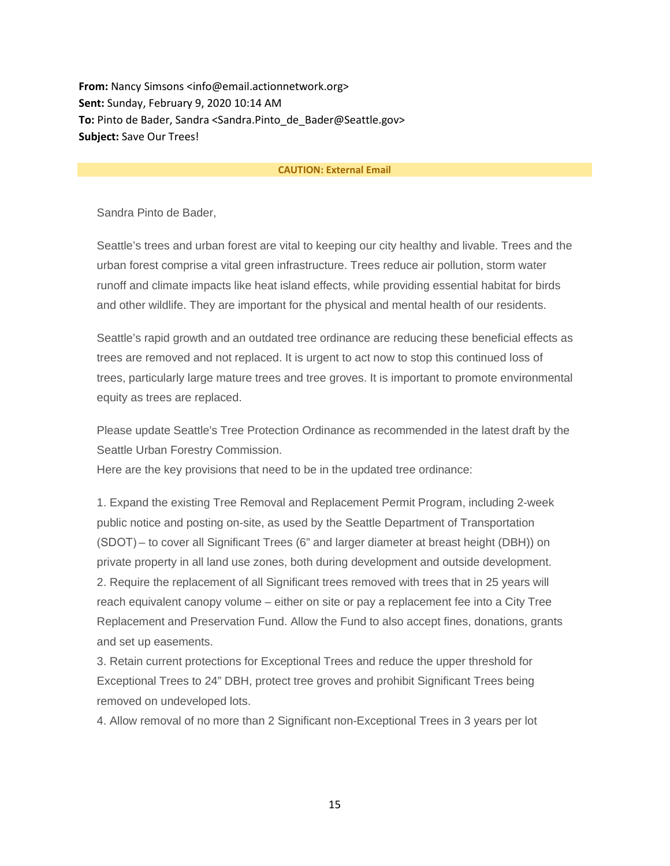**From:** Nancy Simsons <info@email.actionnetwork.org> **Sent:** Sunday, February 9, 2020 10:14 AM **To:** Pinto de Bader, Sandra <Sandra.Pinto\_de\_Bader@Seattle.gov> **Subject:** Save Our Trees!

#### **CAUTION: External Email**

Sandra Pinto de Bader,

Seattle's trees and urban forest are vital to keeping our city healthy and livable. Trees and the urban forest comprise a vital green infrastructure. Trees reduce air pollution, storm water runoff and climate impacts like heat island effects, while providing essential habitat for birds and other wildlife. They are important for the physical and mental health of our residents.

Seattle's rapid growth and an outdated tree ordinance are reducing these beneficial effects as trees are removed and not replaced. It is urgent to act now to stop this continued loss of trees, particularly large mature trees and tree groves. It is important to promote environmental equity as trees are replaced.

Please update Seattle's Tree Protection Ordinance as recommended in the latest draft by the Seattle Urban Forestry Commission.

Here are the key provisions that need to be in the updated tree ordinance:

1. Expand the existing Tree Removal and Replacement Permit Program, including 2-week public notice and posting on-site, as used by the Seattle Department of Transportation (SDOT) – to cover all Significant Trees (6" and larger diameter at breast height (DBH)) on private property in all land use zones, both during development and outside development. 2. Require the replacement of all Significant trees removed with trees that in 25 years will reach equivalent canopy volume – either on site or pay a replacement fee into a City Tree Replacement and Preservation Fund. Allow the Fund to also accept fines, donations, grants and set up easements.

3. Retain current protections for Exceptional Trees and reduce the upper threshold for Exceptional Trees to 24" DBH, protect tree groves and prohibit Significant Trees being removed on undeveloped lots.

4. Allow removal of no more than 2 Significant non-Exceptional Trees in 3 years per lot

15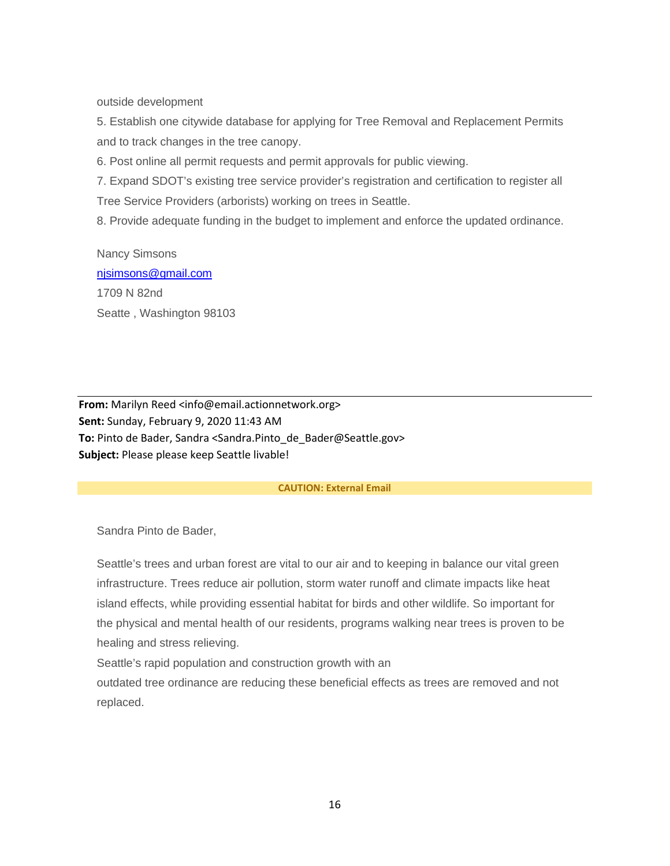outside development

5. Establish one citywide database for applying for Tree Removal and Replacement Permits and to track changes in the tree canopy.

6. Post online all permit requests and permit approvals for public viewing.

7. Expand SDOT's existing tree service provider's registration and certification to register all Tree Service Providers (arborists) working on trees in Seattle.

8. Provide adequate funding in the budget to implement and enforce the updated ordinance.

Nancy Simsons [njsimsons@gmail.com](mailto:njsimsons@gmail.com) 1709 N 82nd Seatte , Washington 98103

**From:** Marilyn Reed <info@email.actionnetwork.org> **Sent:** Sunday, February 9, 2020 11:43 AM **To:** Pinto de Bader, Sandra <Sandra.Pinto\_de\_Bader@Seattle.gov> **Subject:** Please please keep Seattle livable!

#### **CAUTION: External Email**

Sandra Pinto de Bader,

Seattle's trees and urban forest are vital to our air and to keeping in balance our vital green infrastructure. Trees reduce air pollution, storm water runoff and climate impacts like heat island effects, while providing essential habitat for birds and other wildlife. So important for the physical and mental health of our residents, programs walking near trees is proven to be healing and stress relieving.

Seattle's rapid population and construction growth with an

outdated tree ordinance are reducing these beneficial effects as trees are removed and not replaced.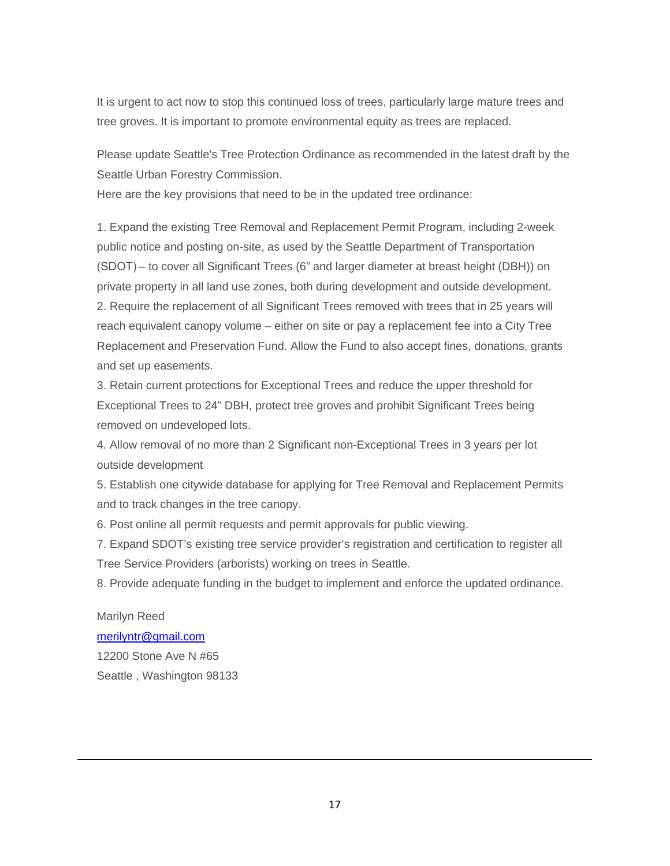It is urgent to act now to stop this continued loss of trees, particularly large mature trees and tree groves. It is important to promote environmental equity as trees are replaced.

Please update Seattle's Tree Protection Ordinance as recommended in the latest draft by the Seattle Urban Forestry Commission.

Here are the key provisions that need to be in the updated tree ordinance:

1. Expand the existing Tree Removal and Replacement Permit Program, including 2-week public notice and posting on-site, as used by the Seattle Department of Transportation (SDOT) – to cover all Significant Trees (6" and larger diameter at breast height (DBH)) on private property in all land use zones, both during development and outside development. 2. Require the replacement of all Significant Trees removed with trees that in 25 years will reach equivalent canopy volume – either on site or pay a replacement fee into a City Tree Replacement and Preservation Fund. Allow the Fund to also accept fines, donations, grants and set up easements.

3. Retain current protections for Exceptional Trees and reduce the upper threshold for Exceptional Trees to 24" DBH, protect tree groves and prohibit Significant Trees being removed on undeveloped lots.

4. Allow removal of no more than 2 Significant non-Exceptional Trees in 3 years per lot outside development

5. Establish one citywide database for applying for Tree Removal and Replacement Permits and to track changes in the tree canopy.

6. Post online all permit requests and permit approvals for public viewing.

7. Expand SDOT's existing tree service provider's registration and certification to register all Tree Service Providers (arborists) working on trees in Seattle.

8. Provide adequate funding in the budget to implement and enforce the updated ordinance.

Marilyn Reed [merilyntr@gmail.com](mailto:merilyntr@gmail.com) 12200 Stone Ave N #65 Seattle , Washington 98133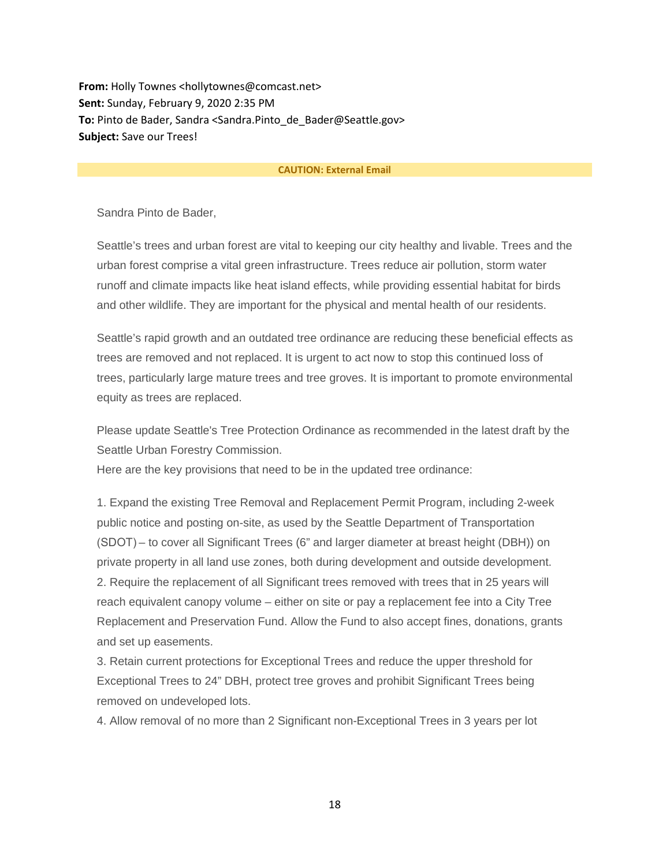**From:** Holly Townes <hollytownes@comcast.net> **Sent:** Sunday, February 9, 2020 2:35 PM **To:** Pinto de Bader, Sandra <Sandra.Pinto\_de\_Bader@Seattle.gov> **Subject:** Save our Trees!

#### **CAUTION: External Email**

Sandra Pinto de Bader,

Seattle's trees and urban forest are vital to keeping our city healthy and livable. Trees and the urban forest comprise a vital green infrastructure. Trees reduce air pollution, storm water runoff and climate impacts like heat island effects, while providing essential habitat for birds and other wildlife. They are important for the physical and mental health of our residents.

Seattle's rapid growth and an outdated tree ordinance are reducing these beneficial effects as trees are removed and not replaced. It is urgent to act now to stop this continued loss of trees, particularly large mature trees and tree groves. It is important to promote environmental equity as trees are replaced.

Please update Seattle's Tree Protection Ordinance as recommended in the latest draft by the Seattle Urban Forestry Commission.

Here are the key provisions that need to be in the updated tree ordinance:

1. Expand the existing Tree Removal and Replacement Permit Program, including 2-week public notice and posting on-site, as used by the Seattle Department of Transportation (SDOT) – to cover all Significant Trees (6" and larger diameter at breast height (DBH)) on private property in all land use zones, both during development and outside development. 2. Require the replacement of all Significant trees removed with trees that in 25 years will reach equivalent canopy volume – either on site or pay a replacement fee into a City Tree Replacement and Preservation Fund. Allow the Fund to also accept fines, donations, grants and set up easements.

3. Retain current protections for Exceptional Trees and reduce the upper threshold for Exceptional Trees to 24" DBH, protect tree groves and prohibit Significant Trees being removed on undeveloped lots.

4. Allow removal of no more than 2 Significant non-Exceptional Trees in 3 years per lot

18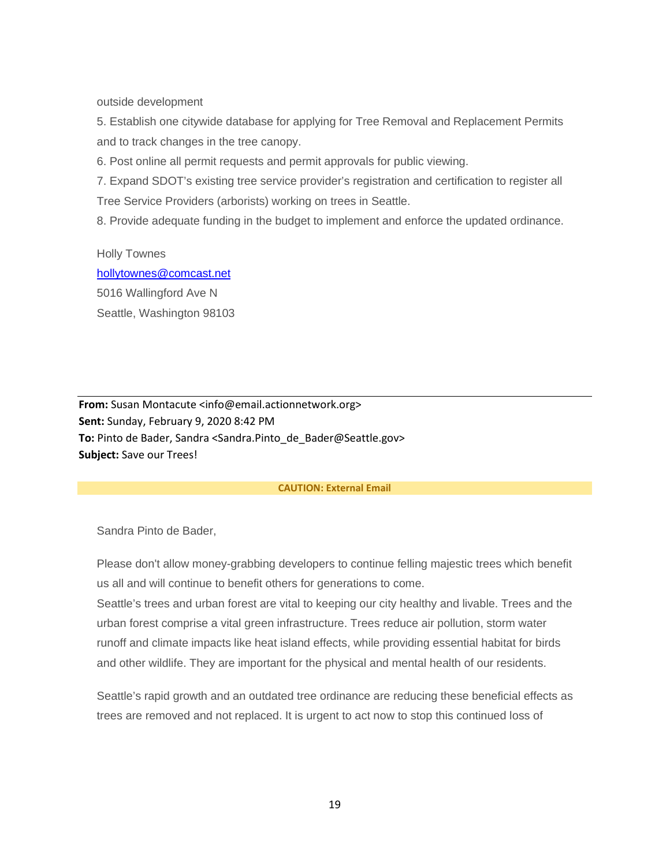outside development

5. Establish one citywide database for applying for Tree Removal and Replacement Permits and to track changes in the tree canopy.

6. Post online all permit requests and permit approvals for public viewing.

7. Expand SDOT's existing tree service provider's registration and certification to register all Tree Service Providers (arborists) working on trees in Seattle.

8. Provide adequate funding in the budget to implement and enforce the updated ordinance.

Holly Townes [hollytownes@comcast.net](mailto:hollytownes@comcast.net) 5016 Wallingford Ave N Seattle, Washington 98103

**From:** Susan Montacute <info@email.actionnetwork.org> **Sent:** Sunday, February 9, 2020 8:42 PM **To:** Pinto de Bader, Sandra <Sandra.Pinto\_de\_Bader@Seattle.gov> **Subject:** Save our Trees!

#### **CAUTION: External Email**

Sandra Pinto de Bader,

Please don't allow money-grabbing developers to continue felling majestic trees which benefit us all and will continue to benefit others for generations to come.

Seattle's trees and urban forest are vital to keeping our city healthy and livable. Trees and the urban forest comprise a vital green infrastructure. Trees reduce air pollution, storm water runoff and climate impacts like heat island effects, while providing essential habitat for birds and other wildlife. They are important for the physical and mental health of our residents.

Seattle's rapid growth and an outdated tree ordinance are reducing these beneficial effects as trees are removed and not replaced. It is urgent to act now to stop this continued loss of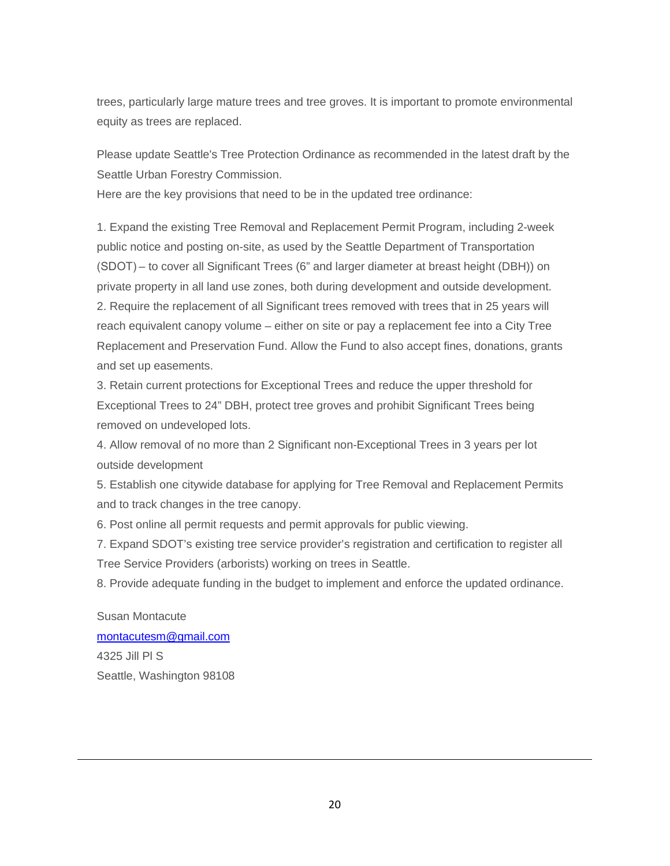trees, particularly large mature trees and tree groves. It is important to promote environmental equity as trees are replaced.

Please update Seattle's Tree Protection Ordinance as recommended in the latest draft by the Seattle Urban Forestry Commission.

Here are the key provisions that need to be in the updated tree ordinance:

1. Expand the existing Tree Removal and Replacement Permit Program, including 2-week public notice and posting on-site, as used by the Seattle Department of Transportation (SDOT) – to cover all Significant Trees (6" and larger diameter at breast height (DBH)) on private property in all land use zones, both during development and outside development. 2. Require the replacement of all Significant trees removed with trees that in 25 years will reach equivalent canopy volume – either on site or pay a replacement fee into a City Tree Replacement and Preservation Fund. Allow the Fund to also accept fines, donations, grants and set up easements.

3. Retain current protections for Exceptional Trees and reduce the upper threshold for Exceptional Trees to 24" DBH, protect tree groves and prohibit Significant Trees being removed on undeveloped lots.

4. Allow removal of no more than 2 Significant non-Exceptional Trees in 3 years per lot outside development

5. Establish one citywide database for applying for Tree Removal and Replacement Permits and to track changes in the tree canopy.

6. Post online all permit requests and permit approvals for public viewing.

7. Expand SDOT's existing tree service provider's registration and certification to register all Tree Service Providers (arborists) working on trees in Seattle.

8. Provide adequate funding in the budget to implement and enforce the updated ordinance.

Susan Montacute [montacutesm@gmail.com](mailto:montacutesm@gmail.com) 4325 Jill Pl S Seattle, Washington 98108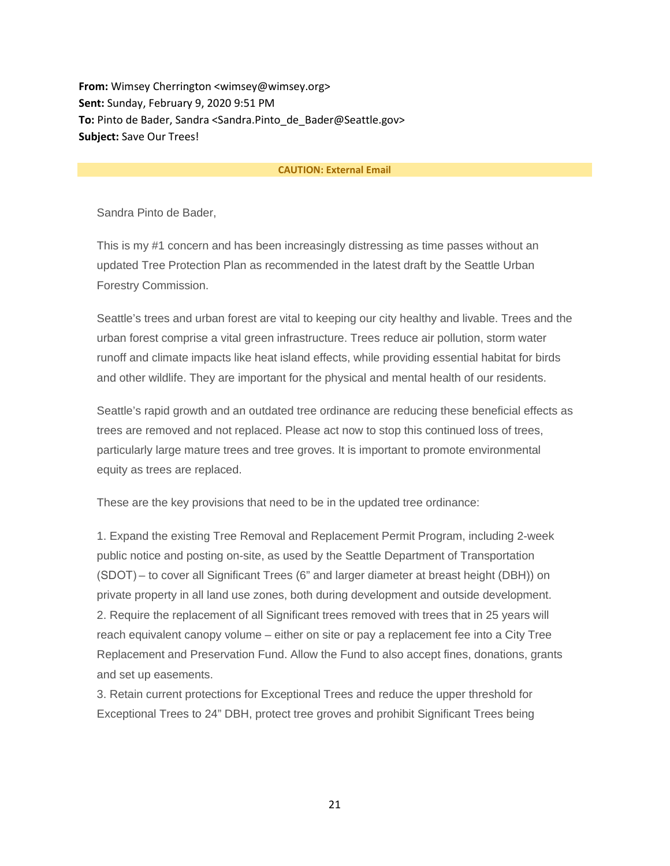**From:** Wimsey Cherrington <wimsey@wimsey.org> **Sent:** Sunday, February 9, 2020 9:51 PM **To:** Pinto de Bader, Sandra <Sandra.Pinto\_de\_Bader@Seattle.gov> **Subject:** Save Our Trees!

#### **CAUTION: External Email**

Sandra Pinto de Bader,

This is my #1 concern and has been increasingly distressing as time passes without an updated Tree Protection Plan as recommended in the latest draft by the Seattle Urban Forestry Commission.

Seattle's trees and urban forest are vital to keeping our city healthy and livable. Trees and the urban forest comprise a vital green infrastructure. Trees reduce air pollution, storm water runoff and climate impacts like heat island effects, while providing essential habitat for birds and other wildlife. They are important for the physical and mental health of our residents.

Seattle's rapid growth and an outdated tree ordinance are reducing these beneficial effects as trees are removed and not replaced. Please act now to stop this continued loss of trees, particularly large mature trees and tree groves. It is important to promote environmental equity as trees are replaced.

These are the key provisions that need to be in the updated tree ordinance:

1. Expand the existing Tree Removal and Replacement Permit Program, including 2-week public notice and posting on-site, as used by the Seattle Department of Transportation (SDOT) – to cover all Significant Trees (6" and larger diameter at breast height (DBH)) on private property in all land use zones, both during development and outside development. 2. Require the replacement of all Significant trees removed with trees that in 25 years will reach equivalent canopy volume – either on site or pay a replacement fee into a City Tree Replacement and Preservation Fund. Allow the Fund to also accept fines, donations, grants and set up easements.

3. Retain current protections for Exceptional Trees and reduce the upper threshold for Exceptional Trees to 24" DBH, protect tree groves and prohibit Significant Trees being

21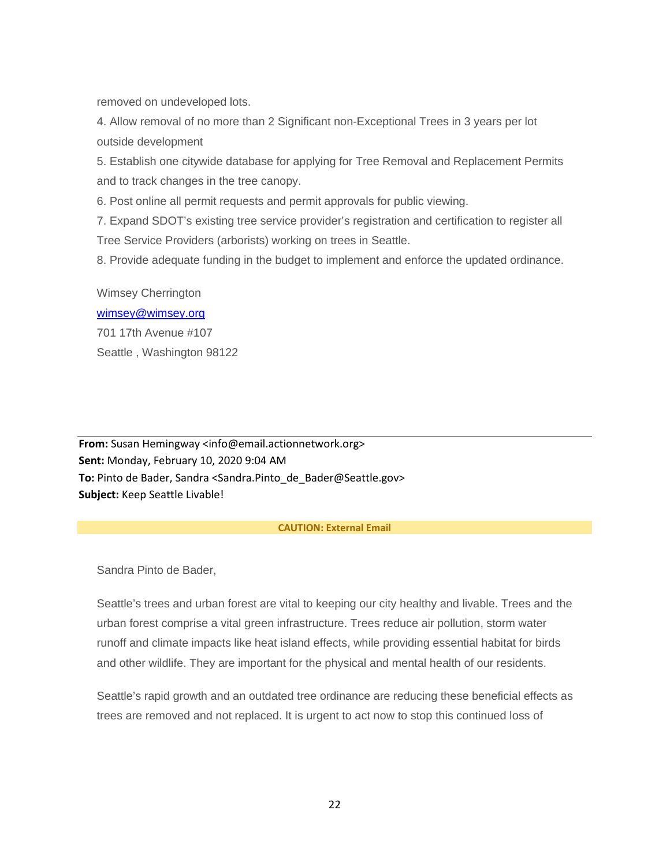removed on undeveloped lots.

4. Allow removal of no more than 2 Significant non-Exceptional Trees in 3 years per lot outside development

5. Establish one citywide database for applying for Tree Removal and Replacement Permits and to track changes in the tree canopy.

6. Post online all permit requests and permit approvals for public viewing.

7. Expand SDOT's existing tree service provider's registration and certification to register all Tree Service Providers (arborists) working on trees in Seattle.

8. Provide adequate funding in the budget to implement and enforce the updated ordinance.

Wimsey Cherrington [wimsey@wimsey.org](mailto:wimsey@wimsey.org) 701 17th Avenue #107 Seattle , Washington 98122

**From:** Susan Hemingway <info@email.actionnetwork.org> **Sent:** Monday, February 10, 2020 9:04 AM **To:** Pinto de Bader, Sandra <Sandra.Pinto\_de\_Bader@Seattle.gov> **Subject:** Keep Seattle Livable!

#### **CAUTION: External Email**

Sandra Pinto de Bader,

Seattle's trees and urban forest are vital to keeping our city healthy and livable. Trees and the urban forest comprise a vital green infrastructure. Trees reduce air pollution, storm water runoff and climate impacts like heat island effects, while providing essential habitat for birds and other wildlife. They are important for the physical and mental health of our residents.

Seattle's rapid growth and an outdated tree ordinance are reducing these beneficial effects as trees are removed and not replaced. It is urgent to act now to stop this continued loss of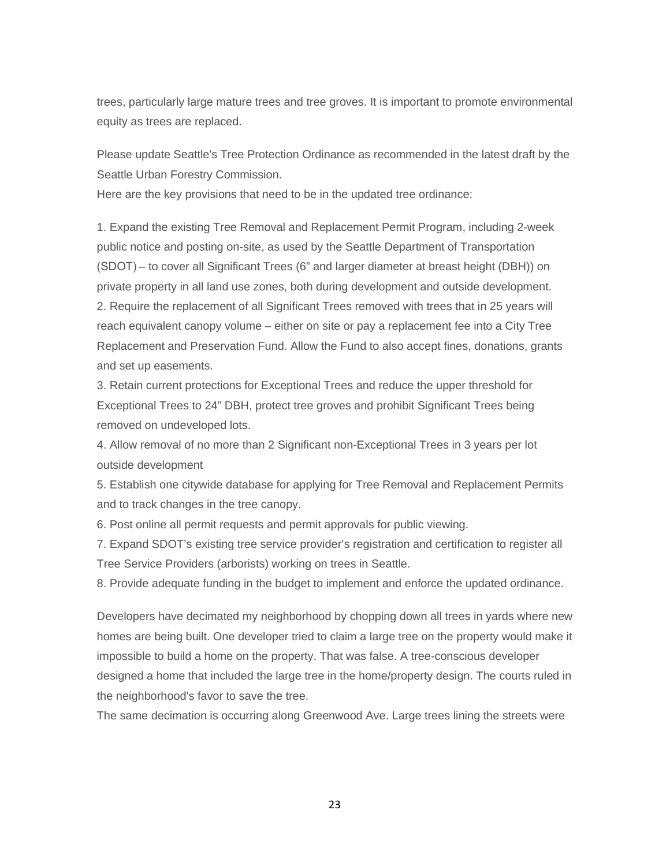trees, particularly large mature trees and tree groves. It is important to promote environmental equity as trees are replaced.

Please update Seattle's Tree Protection Ordinance as recommended in the latest draft by the Seattle Urban Forestry Commission.

Here are the key provisions that need to be in the updated tree ordinance:

1. Expand the existing Tree Removal and Replacement Permit Program, including 2-week public notice and posting on-site, as used by the Seattle Department of Transportation (SDOT) – to cover all Significant Trees (6" and larger diameter at breast height (DBH)) on private property in all land use zones, both during development and outside development. 2. Require the replacement of all Significant Trees removed with trees that in 25 years will reach equivalent canopy volume – either on site or pay a replacement fee into a City Tree Replacement and Preservation Fund. Allow the Fund to also accept fines, donations, grants and set up easements.

3. Retain current protections for Exceptional Trees and reduce the upper threshold for Exceptional Trees to 24" DBH, protect tree groves and prohibit Significant Trees being removed on undeveloped lots.

4. Allow removal of no more than 2 Significant non-Exceptional Trees in 3 years per lot outside development

5. Establish one citywide database for applying for Tree Removal and Replacement Permits and to track changes in the tree canopy.

6. Post online all permit requests and permit approvals for public viewing.

7. Expand SDOT's existing tree service provider's registration and certification to register all Tree Service Providers (arborists) working on trees in Seattle.

8. Provide adequate funding in the budget to implement and enforce the updated ordinance.

Developers have decimated my neighborhood by chopping down all trees in yards where new homes are being built. One developer tried to claim a large tree on the property would make it impossible to build a home on the property. That was false. A tree-conscious developer designed a home that included the large tree in the home/property design. The courts ruled in the neighborhood's favor to save the tree.

The same decimation is occurring along Greenwood Ave. Large trees lining the streets were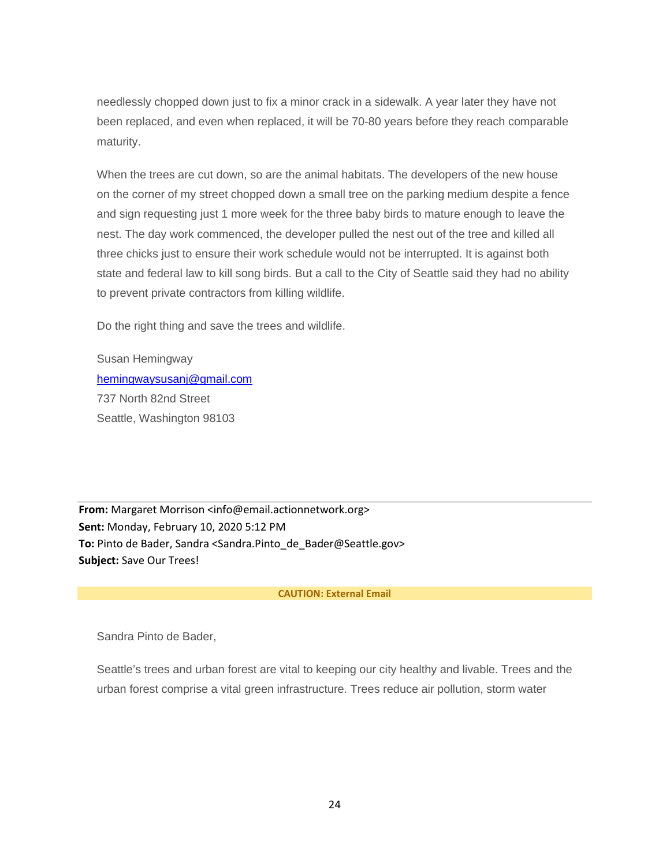needlessly chopped down just to fix a minor crack in a sidewalk. A year later they have not been replaced, and even when replaced, it will be 70-80 years before they reach comparable maturity.

When the trees are cut down, so are the animal habitats. The developers of the new house on the corner of my street chopped down a small tree on the parking medium despite a fence and sign requesting just 1 more week for the three baby birds to mature enough to leave the nest. The day work commenced, the developer pulled the nest out of the tree and killed all three chicks just to ensure their work schedule would not be interrupted. It is against both state and federal law to kill song birds. But a call to the City of Seattle said they had no ability to prevent private contractors from killing wildlife.

Do the right thing and save the trees and wildlife.

Susan Hemingway [hemingwaysusanj@gmail.com](mailto:hemingwaysusanj@gmail.com) 737 North 82nd Street Seattle, Washington 98103

**From:** Margaret Morrison <info@email.actionnetwork.org> **Sent:** Monday, February 10, 2020 5:12 PM **To:** Pinto de Bader, Sandra <Sandra.Pinto\_de\_Bader@Seattle.gov> **Subject:** Save Our Trees!

#### **CAUTION: External Email**

Sandra Pinto de Bader,

Seattle's trees and urban forest are vital to keeping our city healthy and livable. Trees and the urban forest comprise a vital green infrastructure. Trees reduce air pollution, storm water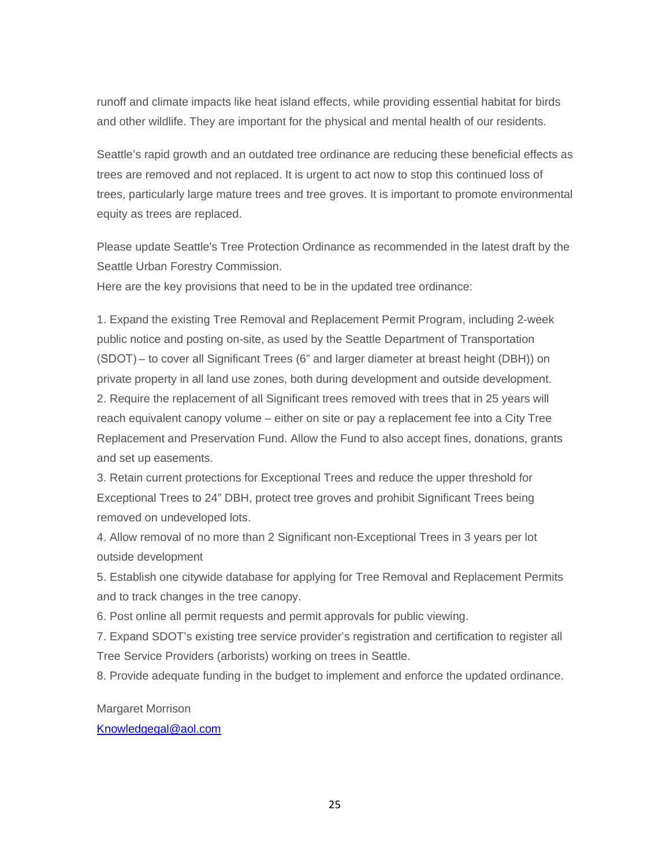runoff and climate impacts like heat island effects, while providing essential habitat for birds and other wildlife. They are important for the physical and mental health of our residents.

Seattle's rapid growth and an outdated tree ordinance are reducing these beneficial effects as trees are removed and not replaced. It is urgent to act now to stop this continued loss of trees, particularly large mature trees and tree groves. It is important to promote environmental equity as trees are replaced.

Please update Seattle's Tree Protection Ordinance as recommended in the latest draft by the Seattle Urban Forestry Commission.

Here are the key provisions that need to be in the updated tree ordinance:

1. Expand the existing Tree Removal and Replacement Permit Program, including 2-week public notice and posting on-site, as used by the Seattle Department of Transportation (SDOT) – to cover all Significant Trees (6" and larger diameter at breast height (DBH)) on private property in all land use zones, both during development and outside development. 2. Require the replacement of all Significant trees removed with trees that in 25 years will reach equivalent canopy volume – either on site or pay a replacement fee into a City Tree Replacement and Preservation Fund. Allow the Fund to also accept fines, donations, grants and set up easements.

3. Retain current protections for Exceptional Trees and reduce the upper threshold for Exceptional Trees to 24" DBH, protect tree groves and prohibit Significant Trees being removed on undeveloped lots.

4. Allow removal of no more than 2 Significant non-Exceptional Trees in 3 years per lot outside development

5. Establish one citywide database for applying for Tree Removal and Replacement Permits and to track changes in the tree canopy.

6. Post online all permit requests and permit approvals for public viewing.

7. Expand SDOT's existing tree service provider's registration and certification to register all Tree Service Providers (arborists) working on trees in Seattle.

8. Provide adequate funding in the budget to implement and enforce the updated ordinance.

Margaret Morrison

[Knowledgegal@aol.com](mailto:Knowledgegal@aol.com)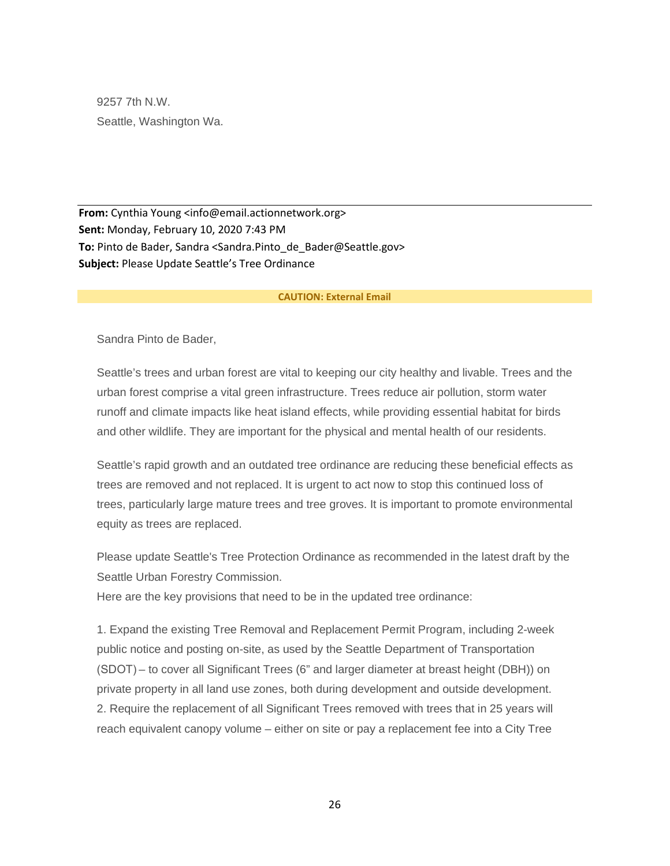9257 7th N.W. Seattle, Washington Wa.

**From:** Cynthia Young <info@email.actionnetwork.org> **Sent:** Monday, February 10, 2020 7:43 PM To: Pinto de Bader, Sandra <Sandra.Pinto de Bader@Seattle.gov> **Subject:** Please Update Seattle's Tree Ordinance

#### **CAUTION: External Email**

Sandra Pinto de Bader,

Seattle's trees and urban forest are vital to keeping our city healthy and livable. Trees and the urban forest comprise a vital green infrastructure. Trees reduce air pollution, storm water runoff and climate impacts like heat island effects, while providing essential habitat for birds and other wildlife. They are important for the physical and mental health of our residents.

Seattle's rapid growth and an outdated tree ordinance are reducing these beneficial effects as trees are removed and not replaced. It is urgent to act now to stop this continued loss of trees, particularly large mature trees and tree groves. It is important to promote environmental equity as trees are replaced.

Please update Seattle's Tree Protection Ordinance as recommended in the latest draft by the Seattle Urban Forestry Commission.

Here are the key provisions that need to be in the updated tree ordinance:

1. Expand the existing Tree Removal and Replacement Permit Program, including 2-week public notice and posting on-site, as used by the Seattle Department of Transportation (SDOT) – to cover all Significant Trees (6" and larger diameter at breast height (DBH)) on private property in all land use zones, both during development and outside development. 2. Require the replacement of all Significant Trees removed with trees that in 25 years will reach equivalent canopy volume – either on site or pay a replacement fee into a City Tree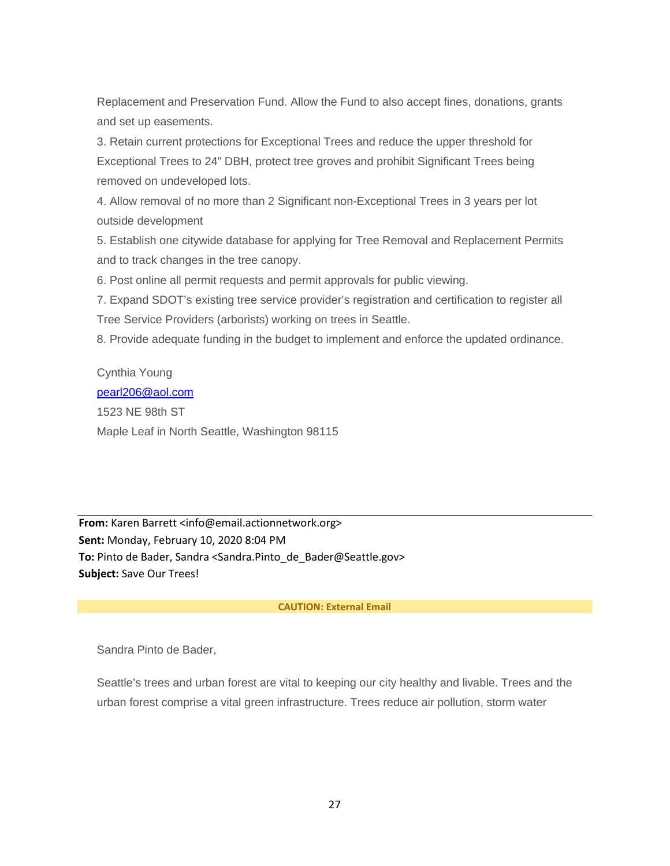Replacement and Preservation Fund. Allow the Fund to also accept fines, donations, grants and set up easements.

3. Retain current protections for Exceptional Trees and reduce the upper threshold for Exceptional Trees to 24" DBH, protect tree groves and prohibit Significant Trees being removed on undeveloped lots.

4. Allow removal of no more than 2 Significant non-Exceptional Trees in 3 years per lot outside development

5. Establish one citywide database for applying for Tree Removal and Replacement Permits and to track changes in the tree canopy.

6. Post online all permit requests and permit approvals for public viewing.

7. Expand SDOT's existing tree service provider's registration and certification to register all Tree Service Providers (arborists) working on trees in Seattle.

8. Provide adequate funding in the budget to implement and enforce the updated ordinance.

Cynthia Young [pearl206@aol.com](mailto:pearl206@aol.com) 1523 NE 98th ST Maple Leaf in North Seattle, Washington 98115

**From:** Karen Barrett <info@email.actionnetwork.org> **Sent:** Monday, February 10, 2020 8:04 PM **To:** Pinto de Bader, Sandra <Sandra.Pinto\_de\_Bader@Seattle.gov> **Subject:** Save Our Trees!

#### **CAUTION: External Email**

Sandra Pinto de Bader,

Seattle's trees and urban forest are vital to keeping our city healthy and livable. Trees and the urban forest comprise a vital green infrastructure. Trees reduce air pollution, storm water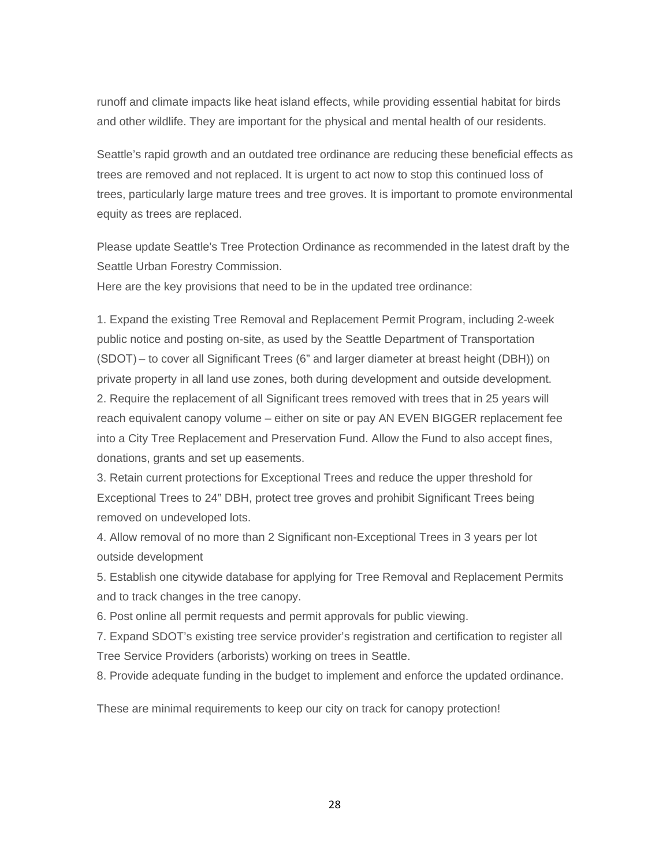runoff and climate impacts like heat island effects, while providing essential habitat for birds and other wildlife. They are important for the physical and mental health of our residents.

Seattle's rapid growth and an outdated tree ordinance are reducing these beneficial effects as trees are removed and not replaced. It is urgent to act now to stop this continued loss of trees, particularly large mature trees and tree groves. It is important to promote environmental equity as trees are replaced.

Please update Seattle's Tree Protection Ordinance as recommended in the latest draft by the Seattle Urban Forestry Commission.

Here are the key provisions that need to be in the updated tree ordinance:

1. Expand the existing Tree Removal and Replacement Permit Program, including 2-week public notice and posting on-site, as used by the Seattle Department of Transportation (SDOT) – to cover all Significant Trees (6" and larger diameter at breast height (DBH)) on private property in all land use zones, both during development and outside development. 2. Require the replacement of all Significant trees removed with trees that in 25 years will reach equivalent canopy volume – either on site or pay AN EVEN BIGGER replacement fee into a City Tree Replacement and Preservation Fund. Allow the Fund to also accept fines, donations, grants and set up easements.

3. Retain current protections for Exceptional Trees and reduce the upper threshold for Exceptional Trees to 24" DBH, protect tree groves and prohibit Significant Trees being removed on undeveloped lots.

4. Allow removal of no more than 2 Significant non-Exceptional Trees in 3 years per lot outside development

5. Establish one citywide database for applying for Tree Removal and Replacement Permits and to track changes in the tree canopy.

6. Post online all permit requests and permit approvals for public viewing.

7. Expand SDOT's existing tree service provider's registration and certification to register all Tree Service Providers (arborists) working on trees in Seattle.

8. Provide adequate funding in the budget to implement and enforce the updated ordinance.

These are minimal requirements to keep our city on track for canopy protection!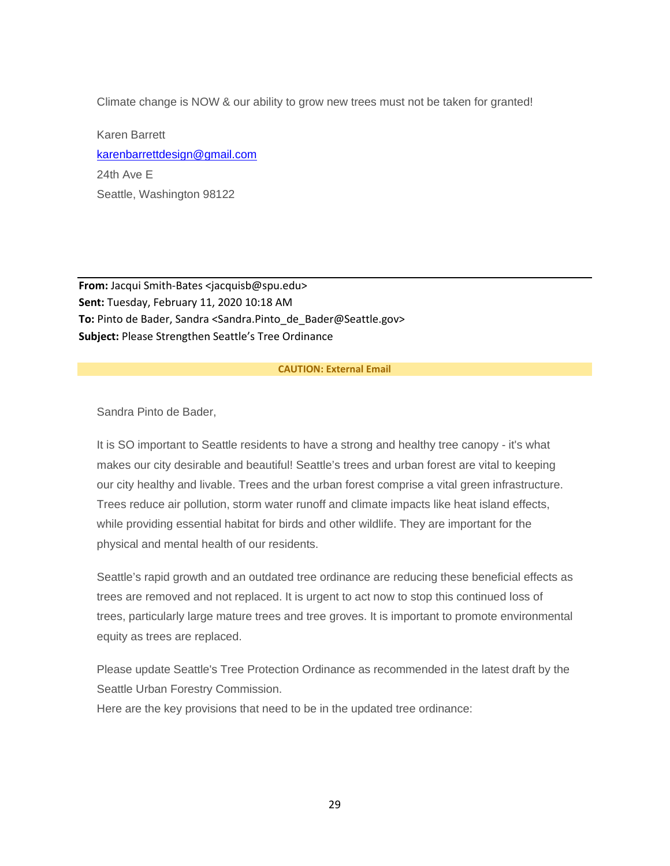Climate change is NOW & our ability to grow new trees must not be taken for granted!

Karen Barrett [karenbarrettdesign@gmail.com](mailto:karenbarrettdesign@gmail.com) 24th Ave E Seattle, Washington 98122

**From:** Jacqui Smith-Bates <jacquisb@spu.edu> **Sent:** Tuesday, February 11, 2020 10:18 AM **To:** Pinto de Bader, Sandra <Sandra.Pinto\_de\_Bader@Seattle.gov> **Subject:** Please Strengthen Seattle's Tree Ordinance

#### **CAUTION: External Email**

Sandra Pinto de Bader,

It is SO important to Seattle residents to have a strong and healthy tree canopy - it's what makes our city desirable and beautiful! Seattle's trees and urban forest are vital to keeping our city healthy and livable. Trees and the urban forest comprise a vital green infrastructure. Trees reduce air pollution, storm water runoff and climate impacts like heat island effects, while providing essential habitat for birds and other wildlife. They are important for the physical and mental health of our residents.

Seattle's rapid growth and an outdated tree ordinance are reducing these beneficial effects as trees are removed and not replaced. It is urgent to act now to stop this continued loss of trees, particularly large mature trees and tree groves. It is important to promote environmental equity as trees are replaced.

Please update Seattle's Tree Protection Ordinance as recommended in the latest draft by the Seattle Urban Forestry Commission.

Here are the key provisions that need to be in the updated tree ordinance: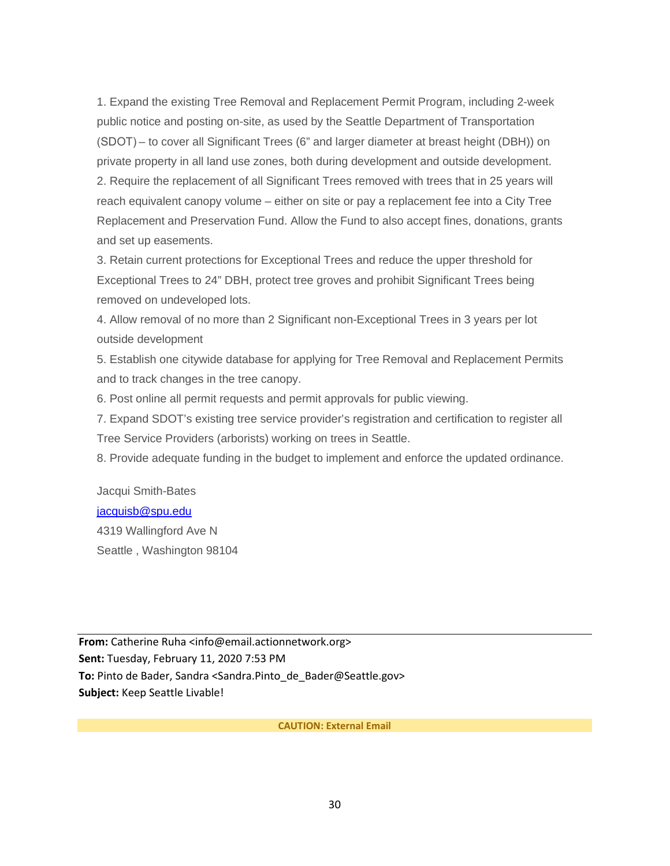1. Expand the existing Tree Removal and Replacement Permit Program, including 2-week public notice and posting on-site, as used by the Seattle Department of Transportation (SDOT) – to cover all Significant Trees (6" and larger diameter at breast height (DBH)) on private property in all land use zones, both during development and outside development. 2. Require the replacement of all Significant Trees removed with trees that in 25 years will reach equivalent canopy volume – either on site or pay a replacement fee into a City Tree Replacement and Preservation Fund. Allow the Fund to also accept fines, donations, grants and set up easements.

3. Retain current protections for Exceptional Trees and reduce the upper threshold for Exceptional Trees to 24" DBH, protect tree groves and prohibit Significant Trees being removed on undeveloped lots.

4. Allow removal of no more than 2 Significant non-Exceptional Trees in 3 years per lot outside development

5. Establish one citywide database for applying for Tree Removal and Replacement Permits and to track changes in the tree canopy.

6. Post online all permit requests and permit approvals for public viewing.

7. Expand SDOT's existing tree service provider's registration and certification to register all Tree Service Providers (arborists) working on trees in Seattle.

8. Provide adequate funding in the budget to implement and enforce the updated ordinance.

# Jacqui Smith-Bates [jacquisb@spu.edu](mailto:jacquisb@spu.edu)

4319 Wallingford Ave N Seattle , Washington 98104

**From:** Catherine Ruha <info@email.actionnetwork.org> **Sent:** Tuesday, February 11, 2020 7:53 PM **To:** Pinto de Bader, Sandra <Sandra.Pinto\_de\_Bader@Seattle.gov> **Subject:** Keep Seattle Livable!

**CAUTION: External Email**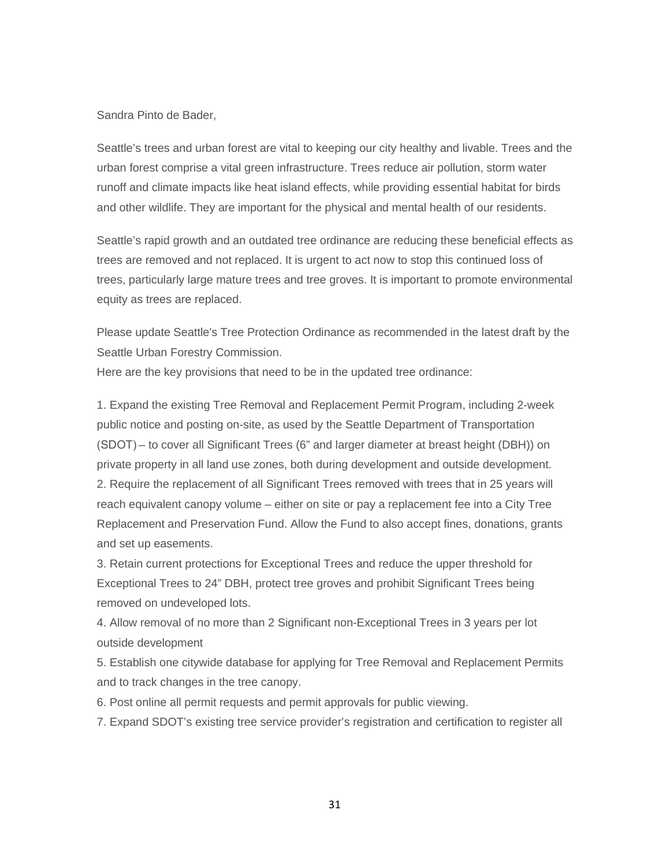#### Sandra Pinto de Bader,

Seattle's trees and urban forest are vital to keeping our city healthy and livable. Trees and the urban forest comprise a vital green infrastructure. Trees reduce air pollution, storm water runoff and climate impacts like heat island effects, while providing essential habitat for birds and other wildlife. They are important for the physical and mental health of our residents.

Seattle's rapid growth and an outdated tree ordinance are reducing these beneficial effects as trees are removed and not replaced. It is urgent to act now to stop this continued loss of trees, particularly large mature trees and tree groves. It is important to promote environmental equity as trees are replaced.

Please update Seattle's Tree Protection Ordinance as recommended in the latest draft by the Seattle Urban Forestry Commission.

Here are the key provisions that need to be in the updated tree ordinance:

1. Expand the existing Tree Removal and Replacement Permit Program, including 2-week public notice and posting on-site, as used by the Seattle Department of Transportation (SDOT) – to cover all Significant Trees (6" and larger diameter at breast height (DBH)) on private property in all land use zones, both during development and outside development. 2. Require the replacement of all Significant Trees removed with trees that in 25 years will reach equivalent canopy volume – either on site or pay a replacement fee into a City Tree Replacement and Preservation Fund. Allow the Fund to also accept fines, donations, grants and set up easements.

3. Retain current protections for Exceptional Trees and reduce the upper threshold for Exceptional Trees to 24" DBH, protect tree groves and prohibit Significant Trees being removed on undeveloped lots.

4. Allow removal of no more than 2 Significant non-Exceptional Trees in 3 years per lot outside development

5. Establish one citywide database for applying for Tree Removal and Replacement Permits and to track changes in the tree canopy.

6. Post online all permit requests and permit approvals for public viewing.

7. Expand SDOT's existing tree service provider's registration and certification to register all

31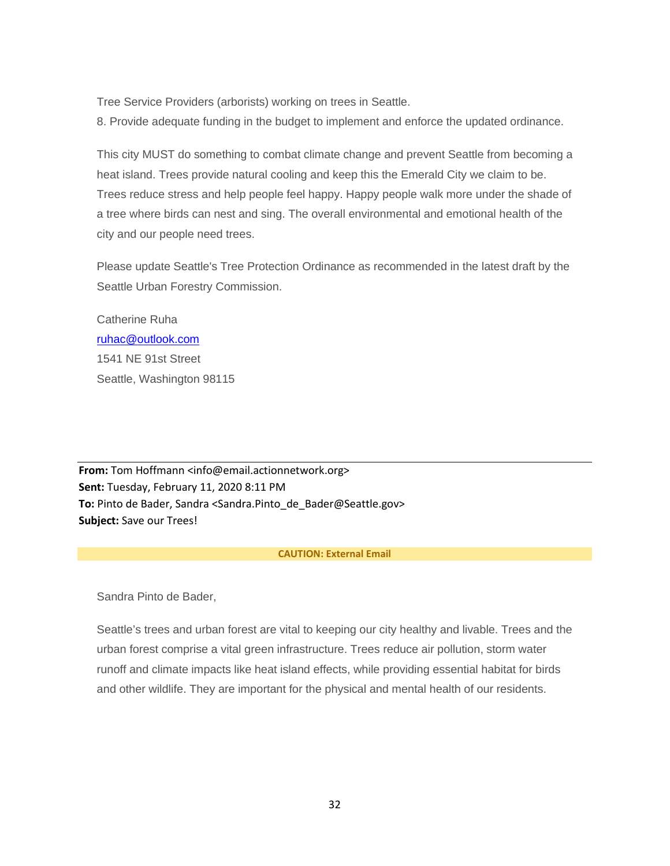Tree Service Providers (arborists) working on trees in Seattle.

8. Provide adequate funding in the budget to implement and enforce the updated ordinance.

This city MUST do something to combat climate change and prevent Seattle from becoming a heat island. Trees provide natural cooling and keep this the Emerald City we claim to be. Trees reduce stress and help people feel happy. Happy people walk more under the shade of a tree where birds can nest and sing. The overall environmental and emotional health of the city and our people need trees.

Please update Seattle's Tree Protection Ordinance as recommended in the latest draft by the Seattle Urban Forestry Commission.

Catherine Ruha [ruhac@outlook.com](mailto:ruhac@outlook.com) 1541 NE 91st Street Seattle, Washington 98115

**From:** Tom Hoffmann <info@email.actionnetwork.org> **Sent:** Tuesday, February 11, 2020 8:11 PM **To:** Pinto de Bader, Sandra <Sandra.Pinto\_de\_Bader@Seattle.gov> **Subject:** Save our Trees!

#### **CAUTION: External Email**

Sandra Pinto de Bader,

Seattle's trees and urban forest are vital to keeping our city healthy and livable. Trees and the urban forest comprise a vital green infrastructure. Trees reduce air pollution, storm water runoff and climate impacts like heat island effects, while providing essential habitat for birds and other wildlife. They are important for the physical and mental health of our residents.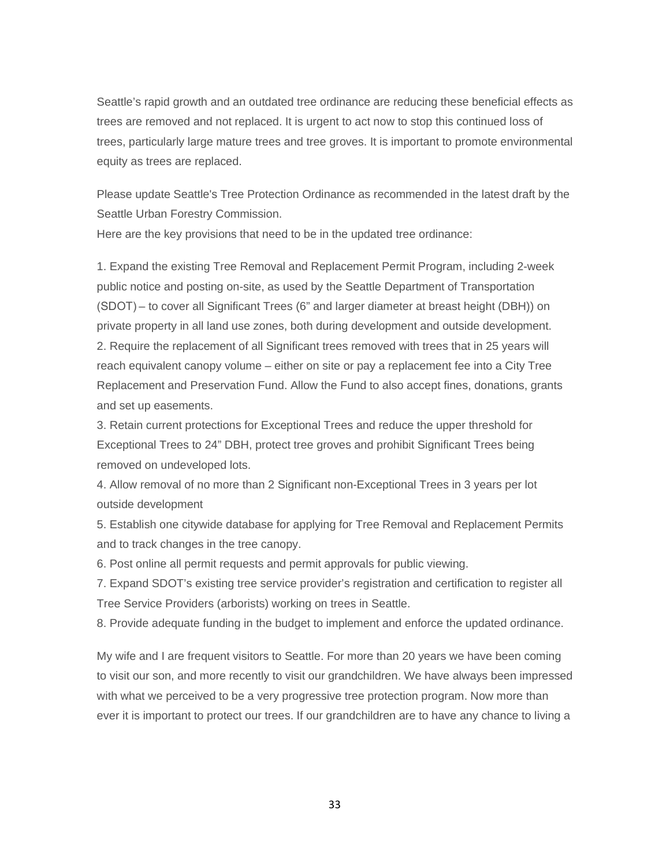Seattle's rapid growth and an outdated tree ordinance are reducing these beneficial effects as trees are removed and not replaced. It is urgent to act now to stop this continued loss of trees, particularly large mature trees and tree groves. It is important to promote environmental equity as trees are replaced.

Please update Seattle's Tree Protection Ordinance as recommended in the latest draft by the Seattle Urban Forestry Commission.

Here are the key provisions that need to be in the updated tree ordinance:

1. Expand the existing Tree Removal and Replacement Permit Program, including 2-week public notice and posting on-site, as used by the Seattle Department of Transportation (SDOT) – to cover all Significant Trees (6" and larger diameter at breast height (DBH)) on private property in all land use zones, both during development and outside development. 2. Require the replacement of all Significant trees removed with trees that in 25 years will reach equivalent canopy volume – either on site or pay a replacement fee into a City Tree Replacement and Preservation Fund. Allow the Fund to also accept fines, donations, grants and set up easements.

3. Retain current protections for Exceptional Trees and reduce the upper threshold for Exceptional Trees to 24" DBH, protect tree groves and prohibit Significant Trees being removed on undeveloped lots.

4. Allow removal of no more than 2 Significant non-Exceptional Trees in 3 years per lot outside development

5. Establish one citywide database for applying for Tree Removal and Replacement Permits and to track changes in the tree canopy.

6. Post online all permit requests and permit approvals for public viewing.

7. Expand SDOT's existing tree service provider's registration and certification to register all Tree Service Providers (arborists) working on trees in Seattle.

8. Provide adequate funding in the budget to implement and enforce the updated ordinance.

My wife and I are frequent visitors to Seattle. For more than 20 years we have been coming to visit our son, and more recently to visit our grandchildren. We have always been impressed with what we perceived to be a very progressive tree protection program. Now more than ever it is important to protect our trees. If our grandchildren are to have any chance to living a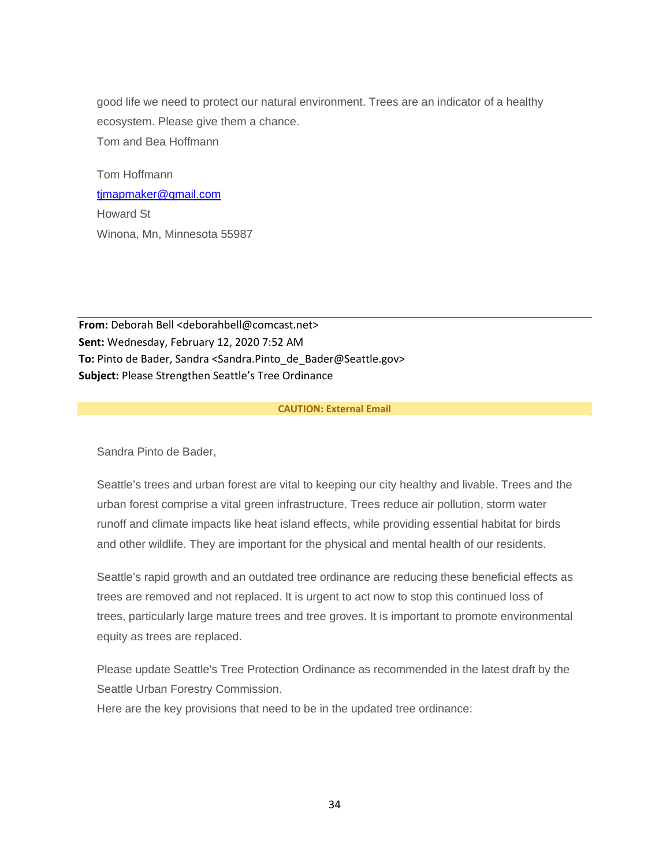good life we need to protect our natural environment. Trees are an indicator of a healthy ecosystem. Please give them a chance. Tom and Bea Hoffmann

Tom Hoffmann [tjmapmaker@gmail.com](mailto:tjmapmaker@gmail.com) Howard St Winona, Mn, Minnesota 55987

**From:** Deborah Bell <deborahbell@comcast.net> **Sent:** Wednesday, February 12, 2020 7:52 AM **To:** Pinto de Bader, Sandra <Sandra.Pinto\_de\_Bader@Seattle.gov> **Subject:** Please Strengthen Seattle's Tree Ordinance

# **CAUTION: External Email**

Sandra Pinto de Bader,

Seattle's trees and urban forest are vital to keeping our city healthy and livable. Trees and the urban forest comprise a vital green infrastructure. Trees reduce air pollution, storm water runoff and climate impacts like heat island effects, while providing essential habitat for birds and other wildlife. They are important for the physical and mental health of our residents.

Seattle's rapid growth and an outdated tree ordinance are reducing these beneficial effects as trees are removed and not replaced. It is urgent to act now to stop this continued loss of trees, particularly large mature trees and tree groves. It is important to promote environmental equity as trees are replaced.

Please update Seattle's Tree Protection Ordinance as recommended in the latest draft by the Seattle Urban Forestry Commission.

Here are the key provisions that need to be in the updated tree ordinance: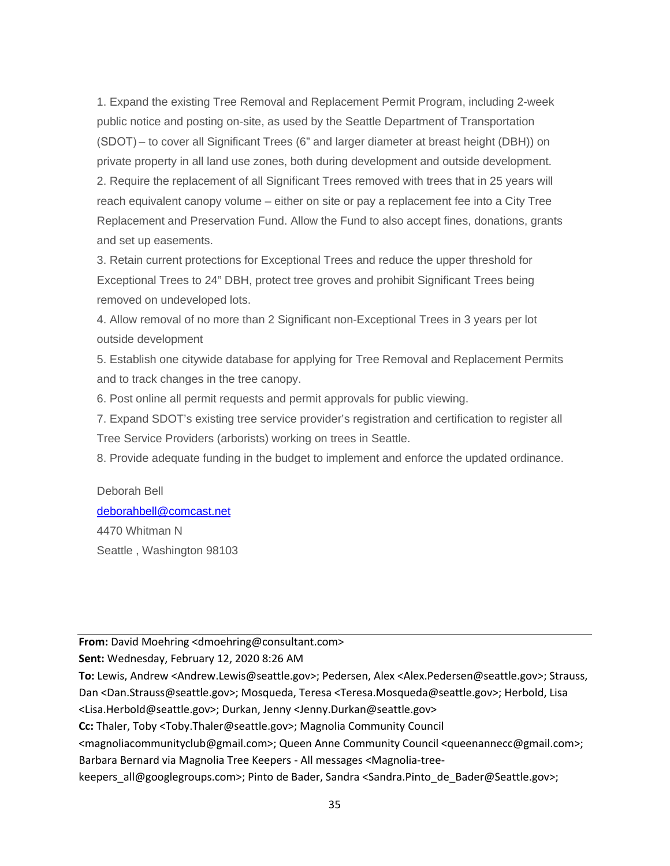1. Expand the existing Tree Removal and Replacement Permit Program, including 2-week public notice and posting on-site, as used by the Seattle Department of Transportation (SDOT) – to cover all Significant Trees (6" and larger diameter at breast height (DBH)) on private property in all land use zones, both during development and outside development. 2. Require the replacement of all Significant Trees removed with trees that in 25 years will reach equivalent canopy volume – either on site or pay a replacement fee into a City Tree Replacement and Preservation Fund. Allow the Fund to also accept fines, donations, grants and set up easements.

3. Retain current protections for Exceptional Trees and reduce the upper threshold for Exceptional Trees to 24" DBH, protect tree groves and prohibit Significant Trees being removed on undeveloped lots.

4. Allow removal of no more than 2 Significant non-Exceptional Trees in 3 years per lot outside development

5. Establish one citywide database for applying for Tree Removal and Replacement Permits and to track changes in the tree canopy.

6. Post online all permit requests and permit approvals for public viewing.

7. Expand SDOT's existing tree service provider's registration and certification to register all Tree Service Providers (arborists) working on trees in Seattle.

8. Provide adequate funding in the budget to implement and enforce the updated ordinance.

# Deborah Bell [deborahbell@comcast.net](mailto:deborahbell@comcast.net) 4470 Whitman N Seattle , Washington 98103

**From:** David Moehring <dmoehring@consultant.com>

**Sent:** Wednesday, February 12, 2020 8:26 AM

**To:** Lewis, Andrew <Andrew.Lewis@seattle.gov>; Pedersen, Alex <Alex.Pedersen@seattle.gov>; Strauss, Dan <Dan.Strauss@seattle.gov>; Mosqueda, Teresa <Teresa.Mosqueda@seattle.gov>; Herbold, Lisa <Lisa.Herbold@seattle.gov>; Durkan, Jenny <Jenny.Durkan@seattle.gov>

**Cc:** Thaler, Toby <Toby.Thaler@seattle.gov>; Magnolia Community Council

<magnoliacommunityclub@gmail.com>; Queen Anne Community Council <queenannecc@gmail.com>; Barbara Bernard via Magnolia Tree Keepers - All messages <Magnolia-tree-

keepers\_all@googlegroups.com>; Pinto de Bader, Sandra <Sandra.Pinto\_de\_Bader@Seattle.gov>;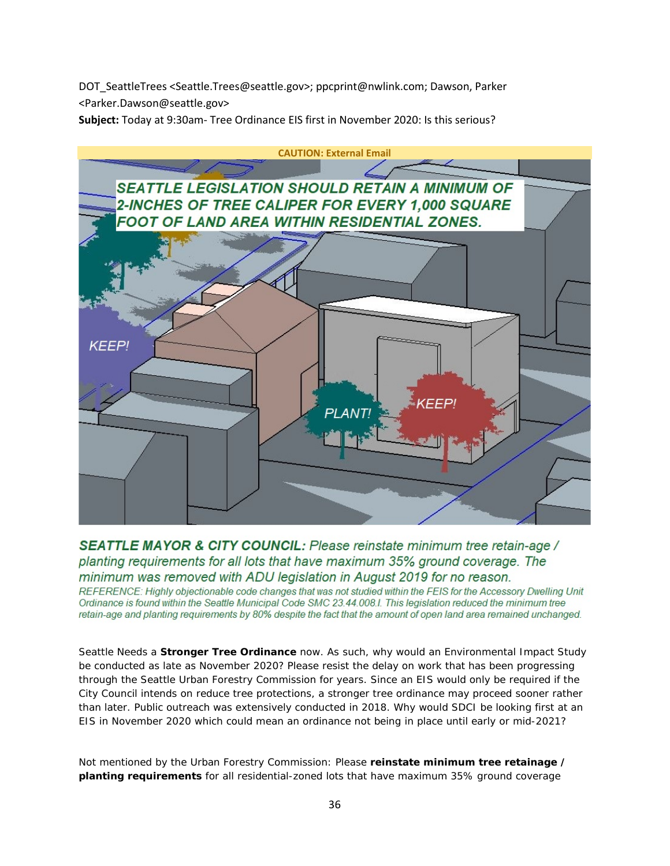DOT\_SeattleTrees <Seattle.Trees@seattle.gov>; ppcprint@nwlink.com; Dawson, Parker <Parker.Dawson@seattle.gov>

**Subject:** Today at 9:30am- Tree Ordinance EIS first in November 2020: Is this serious?



SEATTLE MAYOR & CITY COUNCIL: Please reinstate minimum tree retain-age / planting requirements for all lots that have maximum 35% ground coverage. The minimum was removed with ADU legislation in August 2019 for no reason.

REFERENCE: Highly objectionable code changes that was not studied within the FEIS for the Accessory Dwelling Unit Ordinance is found within the Seattle Municipal Code SMC 23.44.008.I. This legislation reduced the minimum tree retain-age and planting requirements by 80% despite the fact that the amount of open land area remained unchanged.

Seattle Needs a **Stronger Tree Ordinance** now. As such, why would an Environmental Impact Study be conducted as late as November 2020? Please resist the delay on work that has been progressing through the Seattle Urban Forestry Commission for years. Since an EIS would only be required if the City Council intends on reduce tree protections, a stronger tree ordinance may proceed sooner rather than later. Public outreach was extensively conducted in 2018. Why would SDCI be looking first at an EIS in November 2020 which could mean an ordinance not being in place until early or mid-2021?

Not mentioned by the Urban Forestry Commission: Please **reinstate minimum tree retainage / planting requirements** for all residential-zoned lots that have maximum 35% ground coverage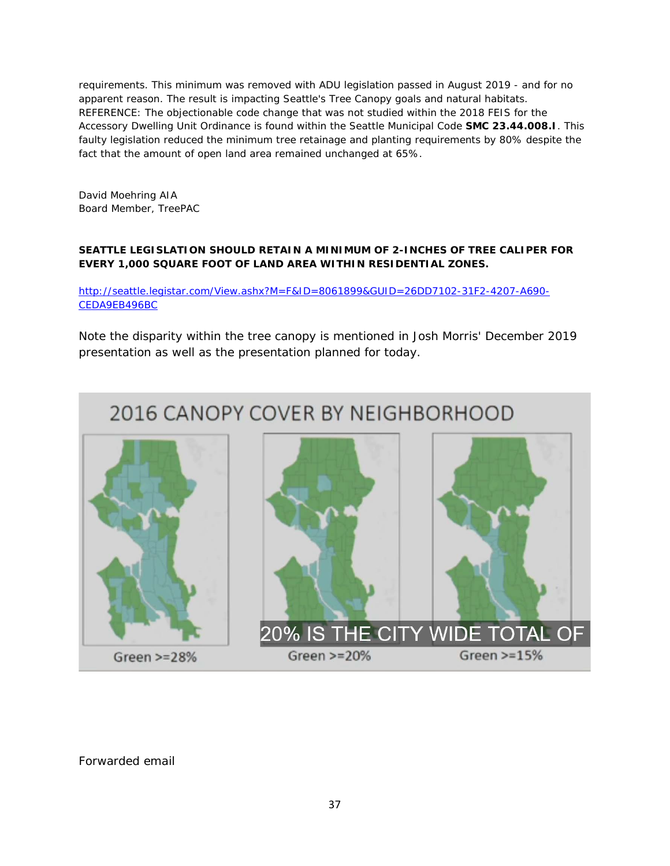requirements. This minimum was removed with ADU legislation passed in August 2019 - and for no apparent reason. The result is impacting Seattle's Tree Canopy goals and natural habitats. REFERENCE: The objectionable code change that was not studied within the 2018 FEIS for the Accessory Dwelling Unit Ordinance is found within the Seattle Municipal Code **SMC 23.44.008.I**. This faulty legislation reduced the minimum tree retainage and planting requirements by 80% despite the fact that the amount of open land area remained unchanged at 65%.

David Moehring AIA Board Member, TreePAC

# **SEATTLE LEGISLATION SHOULD RETAIN A MINIMUM OF 2-INCHES OF TREE CALIPER FOR EVERY 1,000 SQUARE FOOT OF LAND AREA WITHIN RESIDENTIAL ZONES.**

[http://seattle.legistar.com/View.ashx?M=F&ID=8061899&GUID=26DD7102-31F2-4207-A690-](http://seattle.legistar.com/View.ashx?M=F&ID=8061899&GUID=26DD7102-31F2-4207-A690-CEDA9EB496BC) [CEDA9EB496BC](http://seattle.legistar.com/View.ashx?M=F&ID=8061899&GUID=26DD7102-31F2-4207-A690-CEDA9EB496BC)

Note the disparity within the tree canopy is mentioned in Josh Morris' December 2019 presentation as well as the presentation planned for today.

# 2016 CANOPY COVER BY NEIGHBORHOOD

Green  $>=28%$ 

Green  $>=20%$ 

20% IS THE CITY WIDE TOTAL OF

Green  $> = 15%$ 

Forwarded email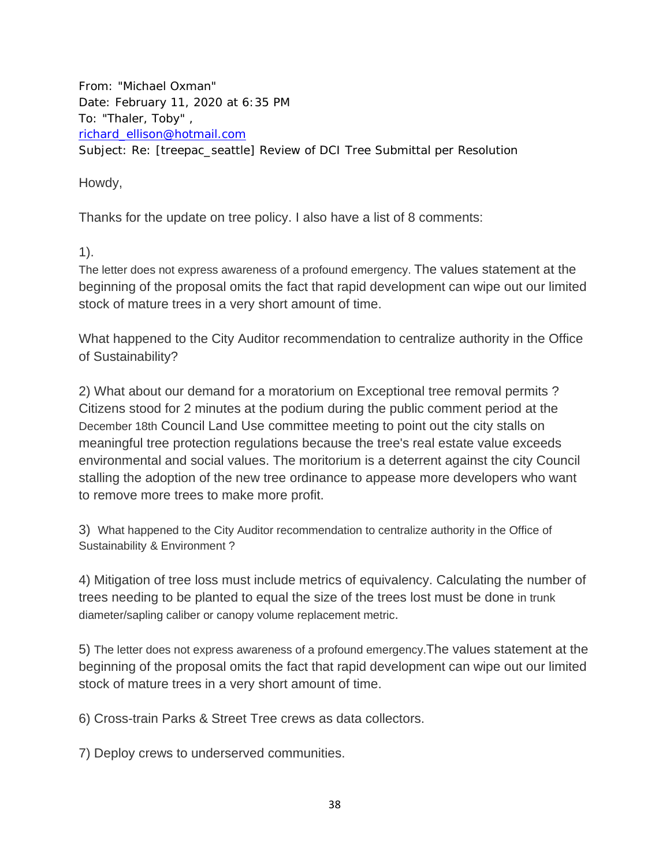From: "Michael Oxman" Date: February 11, 2020 at 6:35 PM To: "Thaler, Toby" , [richard\\_ellison@hotmail.com](mailto:richard_ellison@hotmail.com) Subject: Re: [treepac\_seattle] Review of DCI Tree Submittal per Resolution

Howdy,

Thanks for the update on tree policy. I also have a list of 8 comments:

1).

The letter does not express awareness of a profound emergency. The values statement at the beginning of the proposal omits the fact that rapid development can wipe out our limited stock of mature trees in a very short amount of time.

What happened to the City Auditor recommendation to centralize authority in the Office of Sustainability?

2) What about our demand for a moratorium on Exceptional tree removal permits ? Citizens stood for 2 minutes at the podium during the public comment period at the December 18th Council Land Use committee meeting to point out the city stalls on meaningful tree protection regulations because the tree's real estate value exceeds environmental and social values. The moritorium is a deterrent against the city Council stalling the adoption of the new tree ordinance to appease more developers who want to remove more trees to make more profit.

3) What happened to the City Auditor recommendation to centralize authority in the Office of Sustainability & Environment ?

4) Mitigation of tree loss must include metrics of equivalency. Calculating the number of trees needing to be planted to equal the size of the trees lost must be done in trunk diameter/sapling caliber or canopy volume replacement metric.

5) The letter does not express awareness of a profound emergency.The values statement at the beginning of the proposal omits the fact that rapid development can wipe out our limited stock of mature trees in a very short amount of time.

6) Cross-train Parks & Street Tree crews as data collectors.

7) Deploy crews to underserved communities.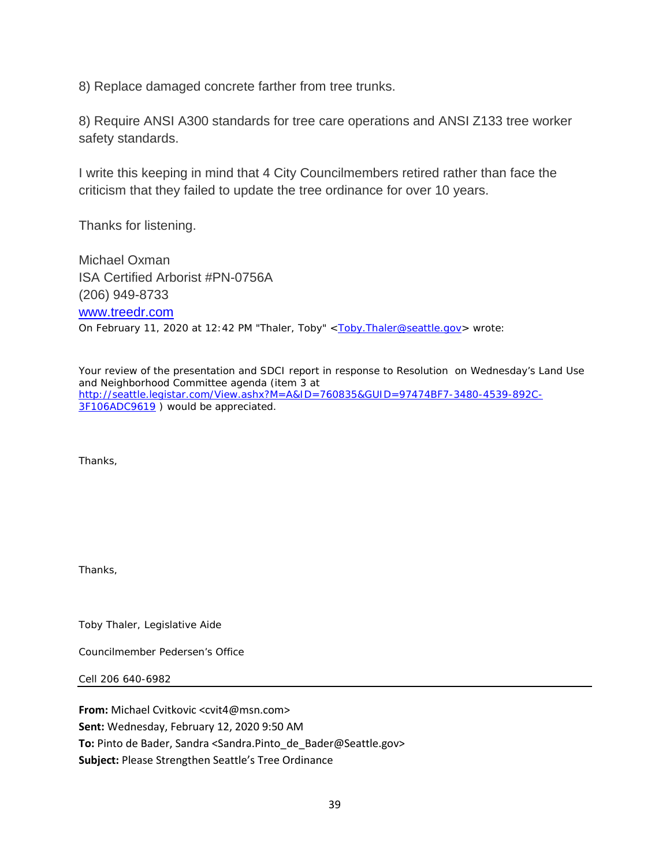8) Replace damaged concrete farther from tree trunks.

8) Require ANSI A300 standards for tree care operations and ANSI Z133 tree worker safety standards.

I write this keeping in mind that 4 City Councilmembers retired rather than face the criticism that they failed to update the tree ordinance for over 10 years.

Thanks for listening.

Michael Oxman ISA Certified Arborist #PN-0756A (206) 949-8733 [www.treedr.com](http://www.treedr.com/) On February 11, 2020 at 12:42 PM "Thaler, Toby" <**Toby.Thaler@seattle.gov>** wrote:

Your review of the presentation and SDCI report in response to Resolution on Wednesday's Land Use and Neighborhood Committee agenda (item 3 at [http://seattle.legistar.com/View.ashx?M=A&ID=760835&GUID=97474BF7-3480-4539-892C-](http://seattle.legistar.com/View.ashx?M=A&ID=760835&GUID=97474BF7-3480-4539-892C-3F106ADC9619)[3F106ADC9619](http://seattle.legistar.com/View.ashx?M=A&ID=760835&GUID=97474BF7-3480-4539-892C-3F106ADC9619)) would be appreciated.

Thanks,

Thanks,

Toby Thaler, Legislative Aide

Councilmember Pedersen's Office

Cell 206 640-6982

**From:** Michael Cvitkovic <cvit4@msn.com> **Sent:** Wednesday, February 12, 2020 9:50 AM **To:** Pinto de Bader, Sandra <Sandra.Pinto\_de\_Bader@Seattle.gov> **Subject:** Please Strengthen Seattle's Tree Ordinance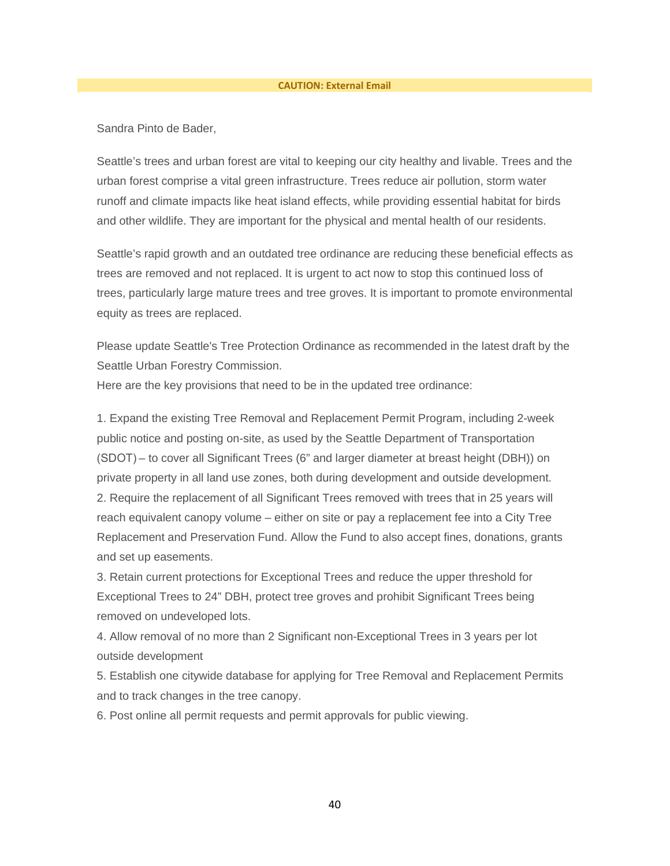#### **CAUTION: External Email**

Sandra Pinto de Bader,

Seattle's trees and urban forest are vital to keeping our city healthy and livable. Trees and the urban forest comprise a vital green infrastructure. Trees reduce air pollution, storm water runoff and climate impacts like heat island effects, while providing essential habitat for birds and other wildlife. They are important for the physical and mental health of our residents.

Seattle's rapid growth and an outdated tree ordinance are reducing these beneficial effects as trees are removed and not replaced. It is urgent to act now to stop this continued loss of trees, particularly large mature trees and tree groves. It is important to promote environmental equity as trees are replaced.

Please update Seattle's Tree Protection Ordinance as recommended in the latest draft by the Seattle Urban Forestry Commission.

Here are the key provisions that need to be in the updated tree ordinance:

1. Expand the existing Tree Removal and Replacement Permit Program, including 2-week public notice and posting on-site, as used by the Seattle Department of Transportation (SDOT) – to cover all Significant Trees (6" and larger diameter at breast height (DBH)) on private property in all land use zones, both during development and outside development. 2. Require the replacement of all Significant Trees removed with trees that in 25 years will reach equivalent canopy volume – either on site or pay a replacement fee into a City Tree Replacement and Preservation Fund. Allow the Fund to also accept fines, donations, grants and set up easements.

3. Retain current protections for Exceptional Trees and reduce the upper threshold for Exceptional Trees to 24" DBH, protect tree groves and prohibit Significant Trees being removed on undeveloped lots.

4. Allow removal of no more than 2 Significant non-Exceptional Trees in 3 years per lot outside development

5. Establish one citywide database for applying for Tree Removal and Replacement Permits and to track changes in the tree canopy.

6. Post online all permit requests and permit approvals for public viewing.

40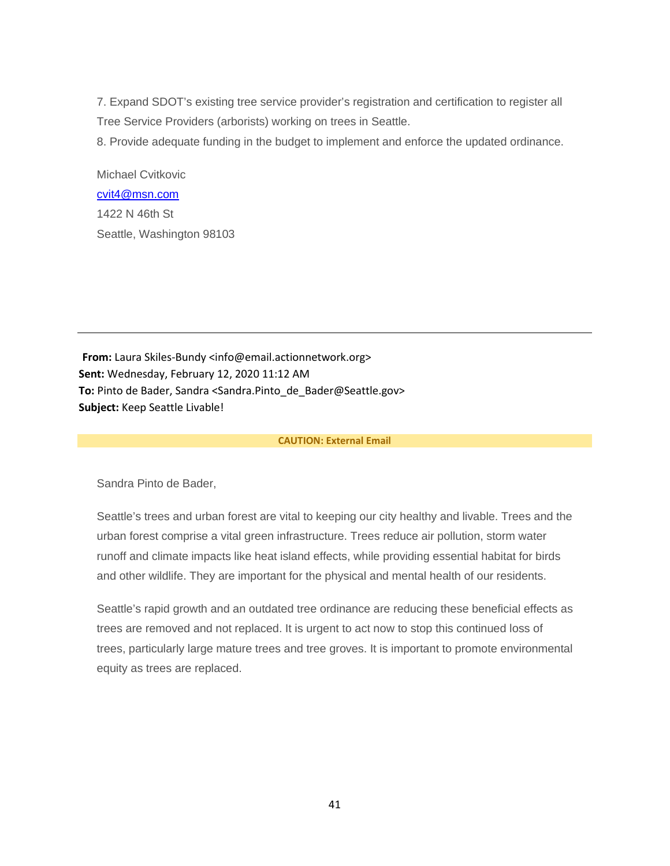7. Expand SDOT's existing tree service provider's registration and certification to register all Tree Service Providers (arborists) working on trees in Seattle.

8. Provide adequate funding in the budget to implement and enforce the updated ordinance.

Michael Cvitkovic [cvit4@msn.com](mailto:cvit4@msn.com) 1422 N 46th St Seattle, Washington 98103

**From:** Laura Skiles-Bundy <info@email.actionnetwork.org> **Sent:** Wednesday, February 12, 2020 11:12 AM **To:** Pinto de Bader, Sandra <Sandra.Pinto\_de\_Bader@Seattle.gov> **Subject:** Keep Seattle Livable!

#### **CAUTION: External Email**

Sandra Pinto de Bader,

Seattle's trees and urban forest are vital to keeping our city healthy and livable. Trees and the urban forest comprise a vital green infrastructure. Trees reduce air pollution, storm water runoff and climate impacts like heat island effects, while providing essential habitat for birds and other wildlife. They are important for the physical and mental health of our residents.

Seattle's rapid growth and an outdated tree ordinance are reducing these beneficial effects as trees are removed and not replaced. It is urgent to act now to stop this continued loss of trees, particularly large mature trees and tree groves. It is important to promote environmental equity as trees are replaced.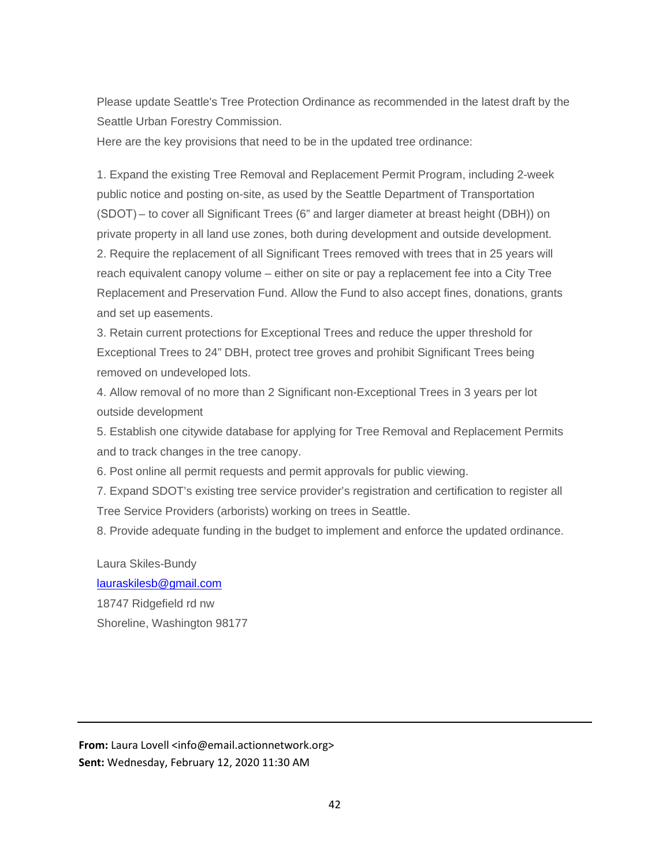Please update Seattle's Tree Protection Ordinance as recommended in the latest draft by the Seattle Urban Forestry Commission.

Here are the key provisions that need to be in the updated tree ordinance:

1. Expand the existing Tree Removal and Replacement Permit Program, including 2-week public notice and posting on-site, as used by the Seattle Department of Transportation (SDOT) – to cover all Significant Trees (6" and larger diameter at breast height (DBH)) on private property in all land use zones, both during development and outside development. 2. Require the replacement of all Significant Trees removed with trees that in 25 years will reach equivalent canopy volume – either on site or pay a replacement fee into a City Tree Replacement and Preservation Fund. Allow the Fund to also accept fines, donations, grants and set up easements.

3. Retain current protections for Exceptional Trees and reduce the upper threshold for Exceptional Trees to 24" DBH, protect tree groves and prohibit Significant Trees being removed on undeveloped lots.

4. Allow removal of no more than 2 Significant non-Exceptional Trees in 3 years per lot outside development

5. Establish one citywide database for applying for Tree Removal and Replacement Permits and to track changes in the tree canopy.

6. Post online all permit requests and permit approvals for public viewing.

7. Expand SDOT's existing tree service provider's registration and certification to register all Tree Service Providers (arborists) working on trees in Seattle.

8. Provide adequate funding in the budget to implement and enforce the updated ordinance.

Laura Skiles-Bundy [lauraskilesb@gmail.com](mailto:lauraskilesb@gmail.com) 18747 Ridgefield rd nw Shoreline, Washington 98177

**From:** Laura Lovell <info@email.actionnetwork.org> **Sent:** Wednesday, February 12, 2020 11:30 AM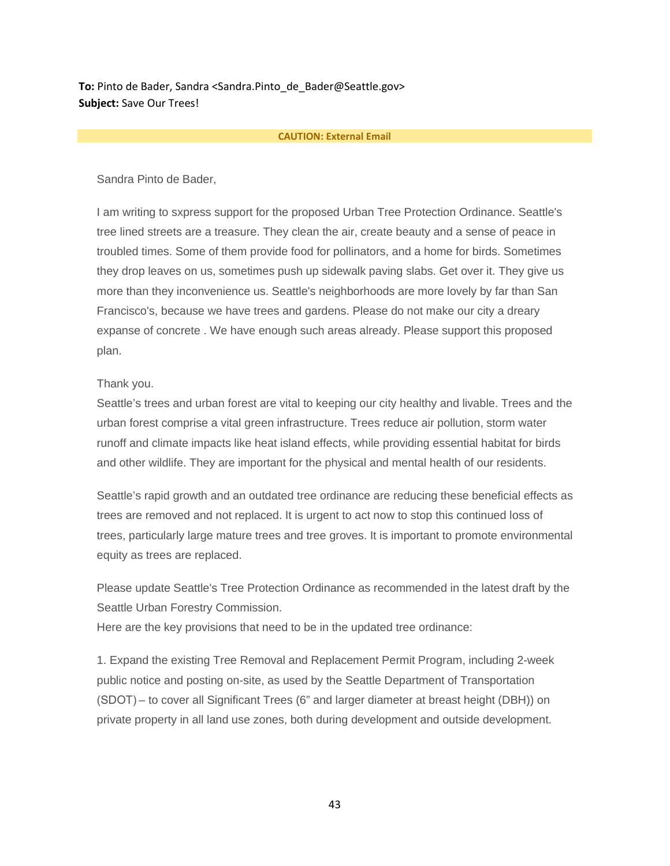**To:** Pinto de Bader, Sandra <Sandra.Pinto de Bader@Seattle.gov> **Subject:** Save Our Trees!

#### **CAUTION: External Email**

Sandra Pinto de Bader,

I am writing to sxpress support for the proposed Urban Tree Protection Ordinance. Seattle's tree lined streets are a treasure. They clean the air, create beauty and a sense of peace in troubled times. Some of them provide food for pollinators, and a home for birds. Sometimes they drop leaves on us, sometimes push up sidewalk paving slabs. Get over it. They give us more than they inconvenience us. Seattle's neighborhoods are more lovely by far than San Francisco's, because we have trees and gardens. Please do not make our city a dreary expanse of concrete . We have enough such areas already. Please support this proposed plan.

# Thank you.

Seattle's trees and urban forest are vital to keeping our city healthy and livable. Trees and the urban forest comprise a vital green infrastructure. Trees reduce air pollution, storm water runoff and climate impacts like heat island effects, while providing essential habitat for birds and other wildlife. They are important for the physical and mental health of our residents.

Seattle's rapid growth and an outdated tree ordinance are reducing these beneficial effects as trees are removed and not replaced. It is urgent to act now to stop this continued loss of trees, particularly large mature trees and tree groves. It is important to promote environmental equity as trees are replaced.

Please update Seattle's Tree Protection Ordinance as recommended in the latest draft by the Seattle Urban Forestry Commission.

Here are the key provisions that need to be in the updated tree ordinance:

1. Expand the existing Tree Removal and Replacement Permit Program, including 2-week public notice and posting on-site, as used by the Seattle Department of Transportation (SDOT) – to cover all Significant Trees (6" and larger diameter at breast height (DBH)) on private property in all land use zones, both during development and outside development.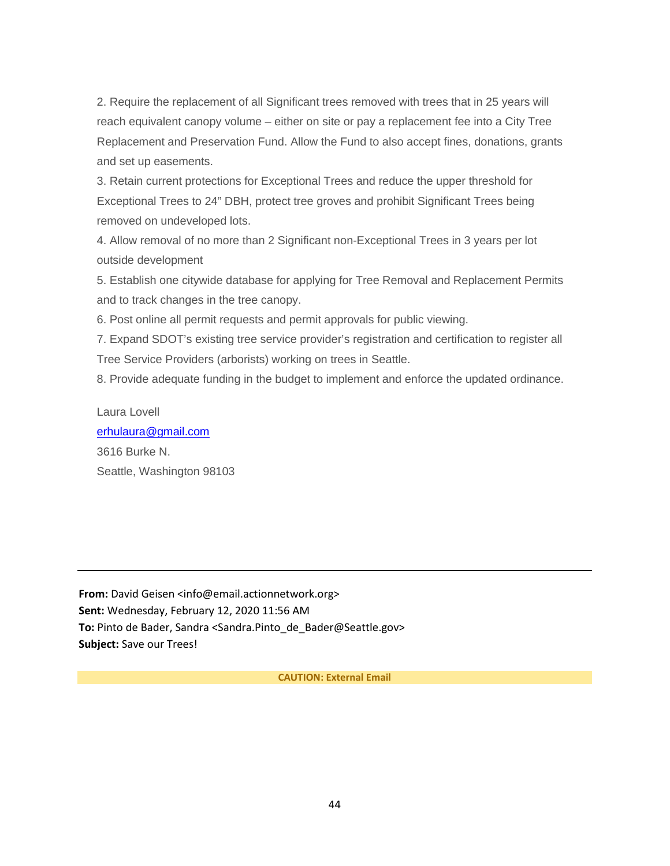2. Require the replacement of all Significant trees removed with trees that in 25 years will reach equivalent canopy volume – either on site or pay a replacement fee into a City Tree Replacement and Preservation Fund. Allow the Fund to also accept fines, donations, grants and set up easements.

3. Retain current protections for Exceptional Trees and reduce the upper threshold for Exceptional Trees to 24" DBH, protect tree groves and prohibit Significant Trees being removed on undeveloped lots.

4. Allow removal of no more than 2 Significant non-Exceptional Trees in 3 years per lot outside development

5. Establish one citywide database for applying for Tree Removal and Replacement Permits and to track changes in the tree canopy.

6. Post online all permit requests and permit approvals for public viewing.

7. Expand SDOT's existing tree service provider's registration and certification to register all Tree Service Providers (arborists) working on trees in Seattle.

8. Provide adequate funding in the budget to implement and enforce the updated ordinance.

Laura Lovell [erhulaura@gmail.com](mailto:erhulaura@gmail.com) 3616 Burke N.

Seattle, Washington 98103

**From:** David Geisen <info@email.actionnetwork.org> **Sent:** Wednesday, February 12, 2020 11:56 AM **To:** Pinto de Bader, Sandra <Sandra.Pinto\_de\_Bader@Seattle.gov> **Subject:** Save our Trees!

**CAUTION: External Email**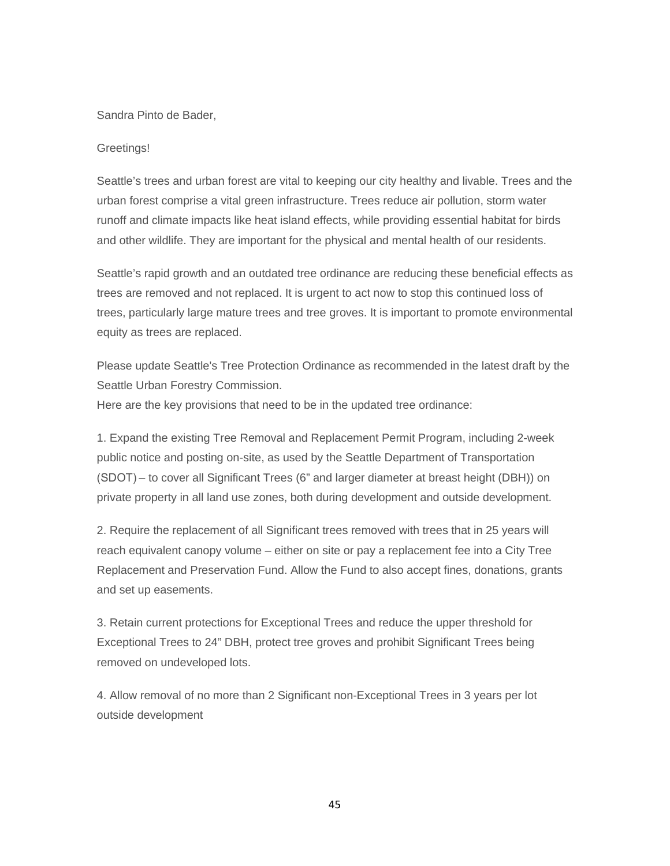# Sandra Pinto de Bader,

# Greetings!

Seattle's trees and urban forest are vital to keeping our city healthy and livable. Trees and the urban forest comprise a vital green infrastructure. Trees reduce air pollution, storm water runoff and climate impacts like heat island effects, while providing essential habitat for birds and other wildlife. They are important for the physical and mental health of our residents.

Seattle's rapid growth and an outdated tree ordinance are reducing these beneficial effects as trees are removed and not replaced. It is urgent to act now to stop this continued loss of trees, particularly large mature trees and tree groves. It is important to promote environmental equity as trees are replaced.

Please update Seattle's Tree Protection Ordinance as recommended in the latest draft by the Seattle Urban Forestry Commission. Here are the key provisions that need to be in the updated tree ordinance:

1. Expand the existing Tree Removal and Replacement Permit Program, including 2-week public notice and posting on-site, as used by the Seattle Department of Transportation (SDOT) – to cover all Significant Trees (6" and larger diameter at breast height (DBH)) on private property in all land use zones, both during development and outside development.

2. Require the replacement of all Significant trees removed with trees that in 25 years will reach equivalent canopy volume – either on site or pay a replacement fee into a City Tree Replacement and Preservation Fund. Allow the Fund to also accept fines, donations, grants and set up easements.

3. Retain current protections for Exceptional Trees and reduce the upper threshold for Exceptional Trees to 24" DBH, protect tree groves and prohibit Significant Trees being removed on undeveloped lots.

4. Allow removal of no more than 2 Significant non-Exceptional Trees in 3 years per lot outside development